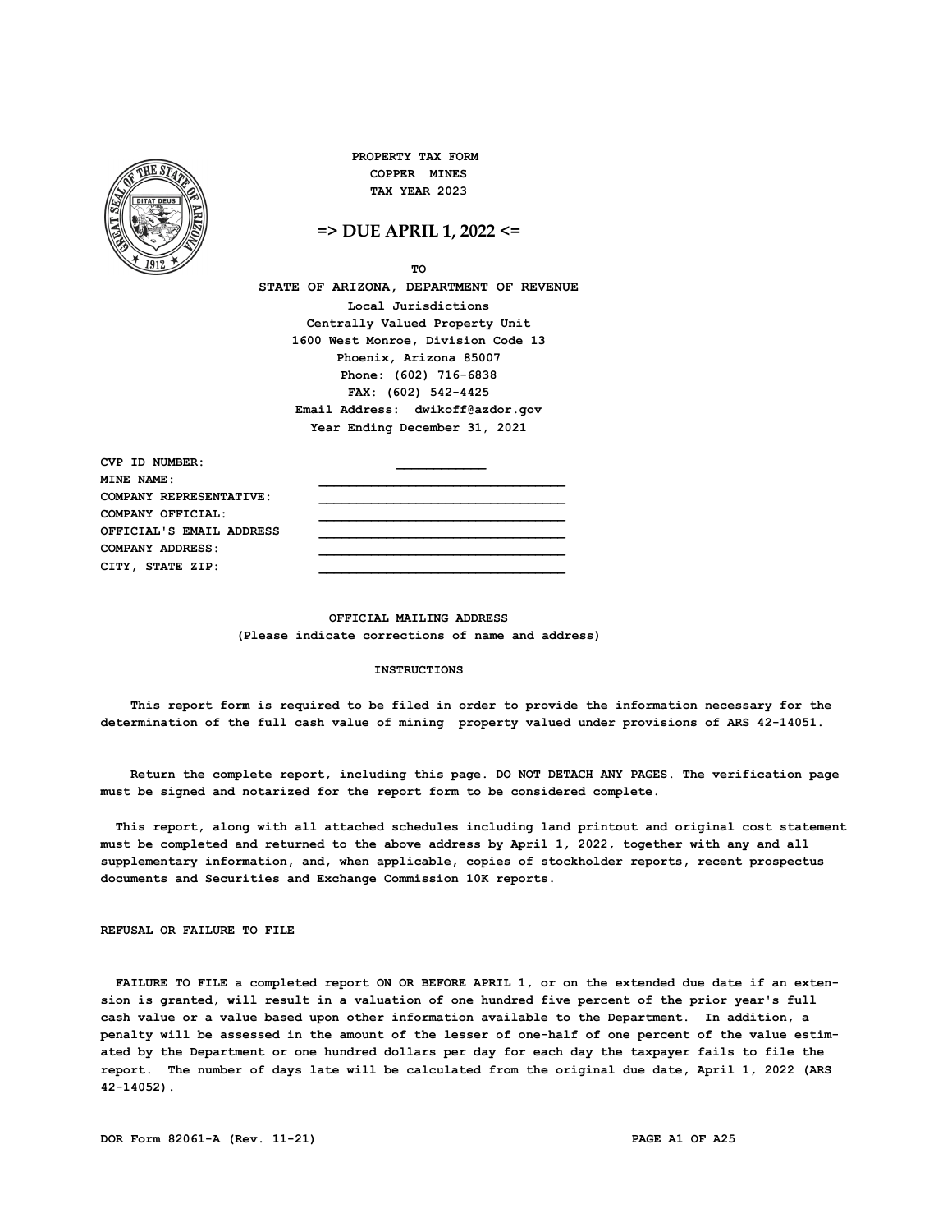

**PROPERTY TAX FORM COPPER MINES TAX YEAR 2023**

**=> DUE APRIL 1, 2022 <=**

**TO**

**STATE OF ARIZONA, DEPARTMENT OF REVENUE Local Jurisdictions Centrally Valued Property Unit 1600 West Monroe, Division Code 13 Phoenix, Arizona 85007 Phone: (602) 716-6838 FAX: (602) 542-4425 Email Address: dwikoff@azdor.gov Year Ending December 31, 2021**

CVP **ID NUMBER MINE NAME:**  $\qquad \qquad \qquad \qquad$ **COMPANY REPRESENTATIVE: \_\_\_\_\_\_\_\_\_\_\_\_\_\_\_\_\_\_\_\_\_\_\_\_\_\_\_\_\_\_\_\_\_ COMPANY OFFICIAL: \_\_\_\_\_\_\_\_\_\_\_\_\_\_\_\_\_\_\_\_\_\_\_\_\_\_\_\_\_\_\_\_\_** OFFICIAL'S EMAIL ADDRESS **COMPANY ADDRESS: \_\_\_\_\_\_\_\_\_\_\_\_\_\_\_\_\_\_\_\_\_\_\_\_\_\_\_\_\_\_\_\_\_** CITY, STATE ZIP:

> **OFFICIAL MAILING ADDRESS (Please indicate corrections of name and address)**

### **INSTRUCTIONS**

 **This report form is required to be filed in order to provide the information necessary for the determination of the full cash value of mining property valued under provisions of ARS 42-14051.**

 **Return the complete report, including this page. DO NOT DETACH ANY PAGES. The verification page must be signed and notarized for the report form to be considered complete.**

 **This report, along with all attached schedules including land printout and original cost statement must be completed and returned to the above address by April 1, 2022, together with any and all supplementary information, and, when applicable, copies of stockholder reports, recent prospectus documents and Securities and Exchange Commission 10K reports.**

**REFUSAL OR FAILURE TO FILE**

 **FAILURE TO FILE a completed report ON OR BEFORE APRIL 1, or on the extended due date if an extension is granted, will result in a valuation of one hundred five percent of the prior year's full cash value or a value based upon other information available to the Department. In addition, a penalty will be assessed in the amount of the lesser of one-half of one percent of the value estimated by the Department or one hundred dollars per day for each day the taxpayer fails to file the report. The number of days late will be calculated from the original due date, April 1, 2022 (ARS 42-14052).**

**DOR Form 82061-A (Rev. 11-21) PAGE A1 OF A25**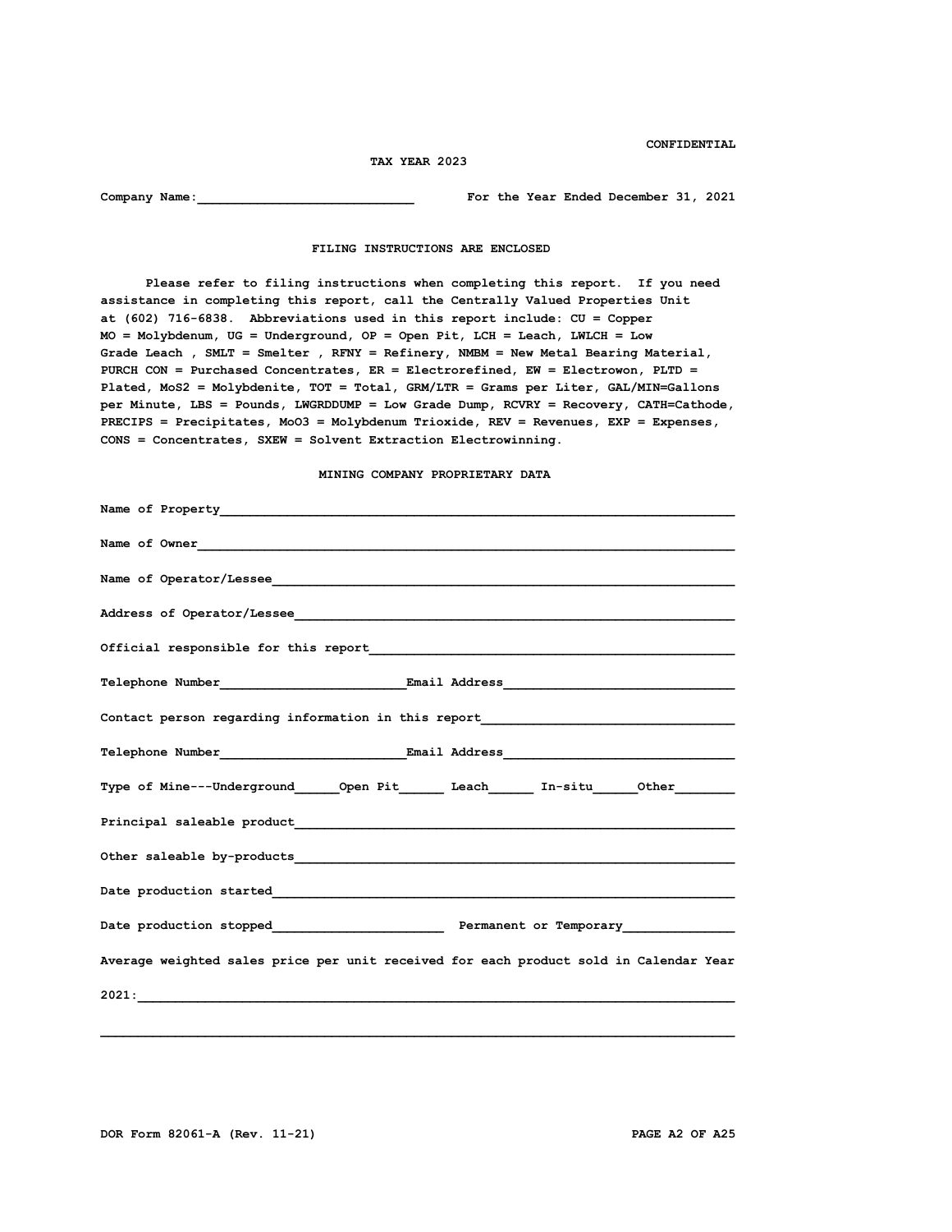**CONFIDENTIAL**

#### **TAX YEAR 2023**

**Company Name:** Company Name:  $\frac{1}{2}$  For the Year Ended December 31, 2021

 **FILING INSTRUCTIONS ARE ENCLOSED**

 **Please refer to filing instructions when completing this report. If you need assistance in completing this report, call the Centrally Valued Properties Unit at (602) 716-6838. Abbreviations used in this report include: CU = Copper MO = Molybdenum, UG = Underground, OP = Open Pit, LCH = Leach, LWLCH = Low Grade Leach , SMLT = Smelter , RFNY = Refinery, NMBM = New Metal Bearing Material, PURCH CON = Purchased Concentrates, ER = Electrorefined, EW = Electrowon, PLTD = Plated, MoS2 = Molybdenite, TOT = Total, GRM/LTR = Grams per Liter, GAL/MIN=Gallons per Minute, LBS = Pounds, LWGRDDUMP = Low Grade Dump, RCVRY = Recovery, CATH=Cathode, PRECIPS = Precipitates, MoO3 = Molybdenum Trioxide, REV = Revenues, EXP = Expenses, CONS = Concentrates, SXEW = Solvent Extraction Electrowinning.**

 **MINING COMPANY PROPRIETARY DATA**

| Name of Owner                                                                                                                                                                                                                 |
|-------------------------------------------------------------------------------------------------------------------------------------------------------------------------------------------------------------------------------|
|                                                                                                                                                                                                                               |
| Address of Operator/Lessee                                                                                                                                                                                                    |
|                                                                                                                                                                                                                               |
|                                                                                                                                                                                                                               |
| Contact person regarding information in this report_____________________________                                                                                                                                              |
|                                                                                                                                                                                                                               |
| Type of Mine---Underground______Open Pit_________Leach________ In-situ______Other___________________                                                                                                                          |
|                                                                                                                                                                                                                               |
| Other saleable by-products experience and contain a series of the sales of the sales of the sales of the sales of the sales of the sales of the sales of the sales of the sales of the sales of the sales of the sales of the |
|                                                                                                                                                                                                                               |
|                                                                                                                                                                                                                               |
| Average weighted sales price per unit received for each product sold in Calendar Year                                                                                                                                         |
|                                                                                                                                                                                                                               |
|                                                                                                                                                                                                                               |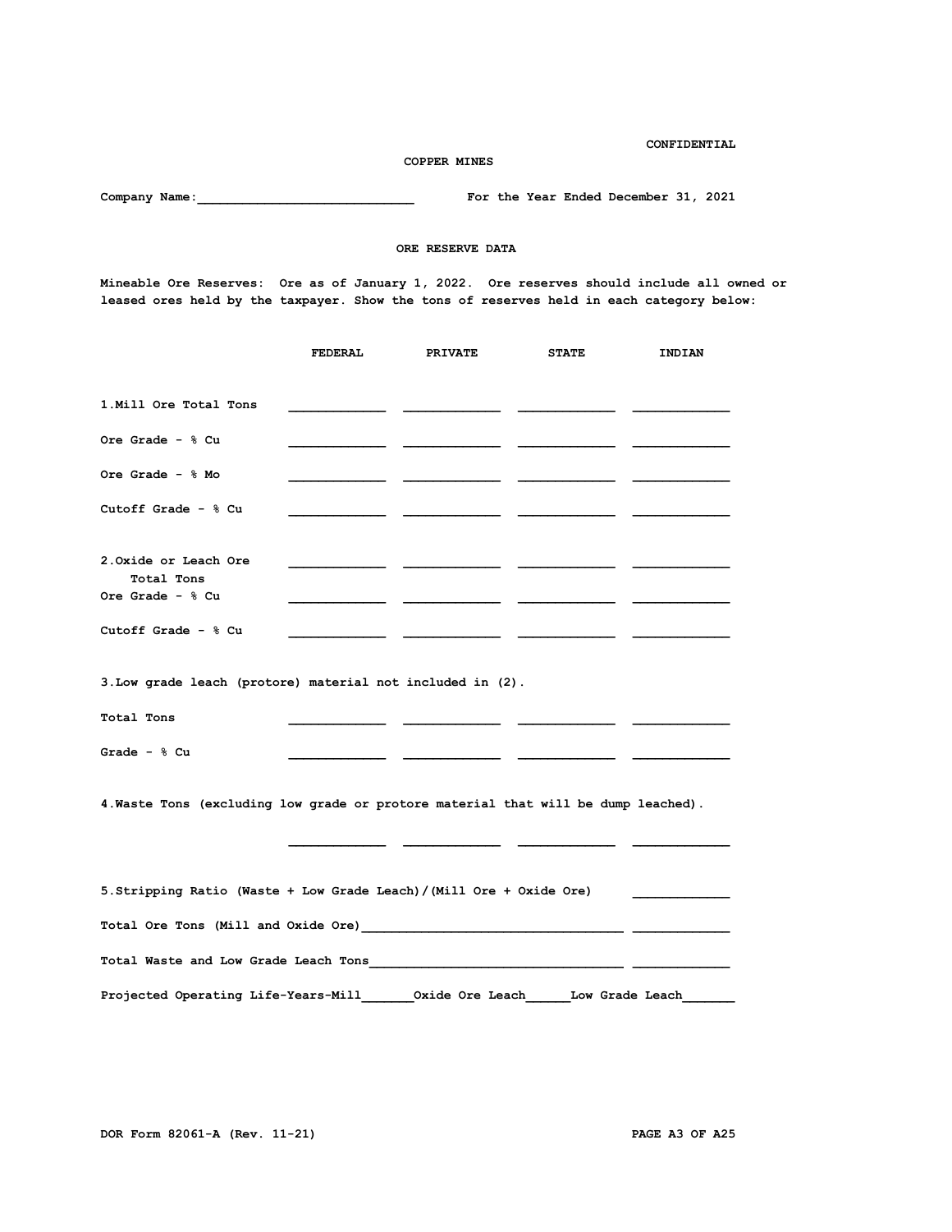**COPPER MINES Company Name:** Company Name:  $\frac{1}{2}$  For the Year Ended December 31, 2021  **ORE RESERVE DATA Mineable Ore Reserves: Ore as of January 1, 2022. Ore reserves should include all owned or leased ores held by the taxpayer. Show the tons of reserves held in each category below: FEDERAL PRIVATE STATE INDIAN 1.Mill Ore Total Tons \_\_\_\_\_\_\_\_\_\_\_\_\_ \_\_\_\_\_\_\_\_\_\_\_\_\_ \_\_\_\_\_\_\_\_\_\_\_\_\_ \_\_\_\_\_\_\_\_\_\_\_\_\_ Ore Grade - % Cu \_\_\_\_\_\_\_\_\_\_\_\_\_ \_\_\_\_\_\_\_\_\_\_\_\_\_ \_\_\_\_\_\_\_\_\_\_\_\_\_ \_\_\_\_\_\_\_\_\_\_\_\_\_ Ore Grade - % Mo \_\_\_\_\_\_\_\_\_\_\_\_\_ \_\_\_\_\_\_\_\_\_\_\_\_\_ \_\_\_\_\_\_\_\_\_\_\_\_\_ \_\_\_\_\_\_\_\_\_\_\_\_\_ Cutoff Grade - % Cu \_\_\_\_\_\_\_\_\_\_\_\_\_ \_\_\_\_\_\_\_\_\_\_\_\_\_ \_\_\_\_\_\_\_\_\_\_\_\_\_ \_\_\_\_\_\_\_\_\_\_\_\_\_ 2.Oxide or Leach Ore \_\_\_\_\_\_\_\_\_\_\_\_\_ \_\_\_\_\_\_\_\_\_\_\_\_\_ \_\_\_\_\_\_\_\_\_\_\_\_\_ \_\_\_\_\_\_\_\_\_\_\_\_\_ Total Tons Ore Grade - % Cu \_\_\_\_\_\_\_\_\_\_\_\_\_ \_\_\_\_\_\_\_\_\_\_\_\_\_ \_\_\_\_\_\_\_\_\_\_\_\_\_ \_\_\_\_\_\_\_\_\_\_\_\_\_ Cutoff Grade - % Cu \_\_\_\_\_\_\_\_\_\_\_\_\_ \_\_\_\_\_\_\_\_\_\_\_\_\_ \_\_\_\_\_\_\_\_\_\_\_\_\_ \_\_\_\_\_\_\_\_\_\_\_\_\_ 3.Low grade leach (protore) material not included in (2). Total Tons \_\_\_\_\_\_\_\_\_\_\_\_\_ \_\_\_\_\_\_\_\_\_\_\_\_\_ \_\_\_\_\_\_\_\_\_\_\_\_\_ \_\_\_\_\_\_\_\_\_\_\_\_\_ Grade - % Cu \_\_\_\_\_\_\_\_\_\_\_\_\_ \_\_\_\_\_\_\_\_\_\_\_\_\_ \_\_\_\_\_\_\_\_\_\_\_\_\_ \_\_\_\_\_\_\_\_\_\_\_\_\_ 4.Waste Tons (excluding low grade or protore material that will be dump leached). \_\_\_\_\_\_\_\_\_\_\_\_\_ \_\_\_\_\_\_\_\_\_\_\_\_\_ \_\_\_\_\_\_\_\_\_\_\_\_\_ \_\_\_\_\_\_\_\_\_\_\_\_\_ 5.Stripping Ratio (Waste + Low Grade Leach)/(Mill Ore + Oxide Ore) \_\_\_\_\_\_\_\_\_\_\_\_\_ Total Ore Tons (Mill and Oxide Ore)\_\_\_\_\_\_\_\_\_\_\_\_\_\_\_\_\_\_\_\_\_\_\_\_\_\_\_\_\_\_\_\_\_\_\_\_ \_\_\_\_\_\_\_\_\_\_\_\_\_ Total Waste and Low Grade Leach Tons\_\_\_\_\_\_\_\_\_\_\_\_\_\_\_\_\_\_\_\_\_\_\_\_\_\_\_\_\_\_\_\_\_\_\_ \_\_\_\_\_\_\_\_\_\_\_\_\_ Projected Operating Life-Years-Mill\_\_\_\_\_\_\_Oxide Ore Leach\_\_\_\_\_\_Low Grade Leach\_\_\_\_\_\_\_**

**CONFIDENTIAL**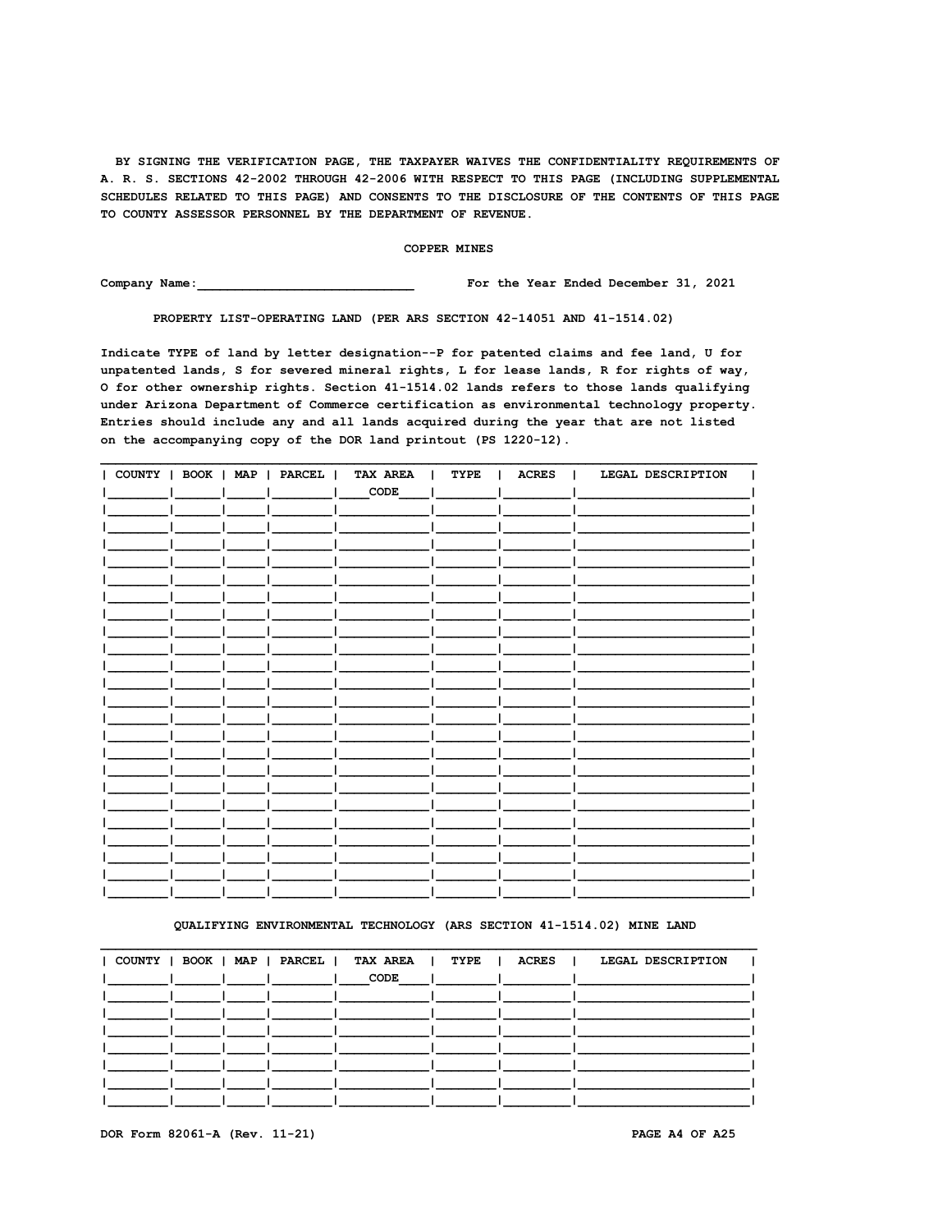### COPPER MINES

Company Name: For the Year Ended December 31, 2021

PROPERTY LIST-OPERATING LAND (PER ARS SECTION 42-14051 AND 41-1514.02)

Indicate TYPE of land by letter designation--P for patented claims and fee land, U for unpatented lands, S for severed mineral rights, L for lease lands, R for rights of way, O for other ownership rights. Section 41-1514.02 lands refers to those lands qualifying under Arizona Department of Commerce certification as environmental technology property. Entries should include any and all lands acquired during the year that are not listed on the accompanying copy of the DOR land printout (PS 1220-12).

|  |  | COUNTY   BOOK   MAP   PARCEL   TAX AREA   TYPE |  | ACRES   LEGAL DESCRIPTION |
|--|--|------------------------------------------------|--|---------------------------|
|  |  | $\sqrt{CODE}$                                  |  |                           |
|  |  |                                                |  |                           |
|  |  |                                                |  |                           |
|  |  |                                                |  |                           |
|  |  |                                                |  |                           |
|  |  |                                                |  |                           |
|  |  |                                                |  |                           |
|  |  |                                                |  |                           |
|  |  |                                                |  |                           |
|  |  |                                                |  |                           |
|  |  |                                                |  |                           |
|  |  |                                                |  |                           |
|  |  |                                                |  |                           |
|  |  |                                                |  |                           |
|  |  |                                                |  |                           |
|  |  |                                                |  |                           |
|  |  |                                                |  |                           |
|  |  |                                                |  |                           |
|  |  |                                                |  |                           |
|  |  |                                                |  |                           |
|  |  |                                                |  |                           |
|  |  |                                                |  |                           |
|  |  |                                                |  |                           |
|  |  |                                                |  |                           |

### QUALIFYING ENVIRONMENTAL TECHNOLOGY (ARS SECTION 41-1514.02) MINE LAND

|  |  | COUNTY   BOOK   MAP   PARCEL   TAX AREA   TYPE   ACRES |                                     | LEGAL DESCRIPTION<br>$\blacksquare$ |
|--|--|--------------------------------------------------------|-------------------------------------|-------------------------------------|
|  |  | CODE                                                   | and the contract of the contract of |                                     |
|  |  |                                                        |                                     |                                     |
|  |  |                                                        |                                     |                                     |
|  |  |                                                        |                                     |                                     |
|  |  |                                                        |                                     |                                     |
|  |  |                                                        |                                     |                                     |
|  |  |                                                        |                                     |                                     |
|  |  |                                                        |                                     |                                     |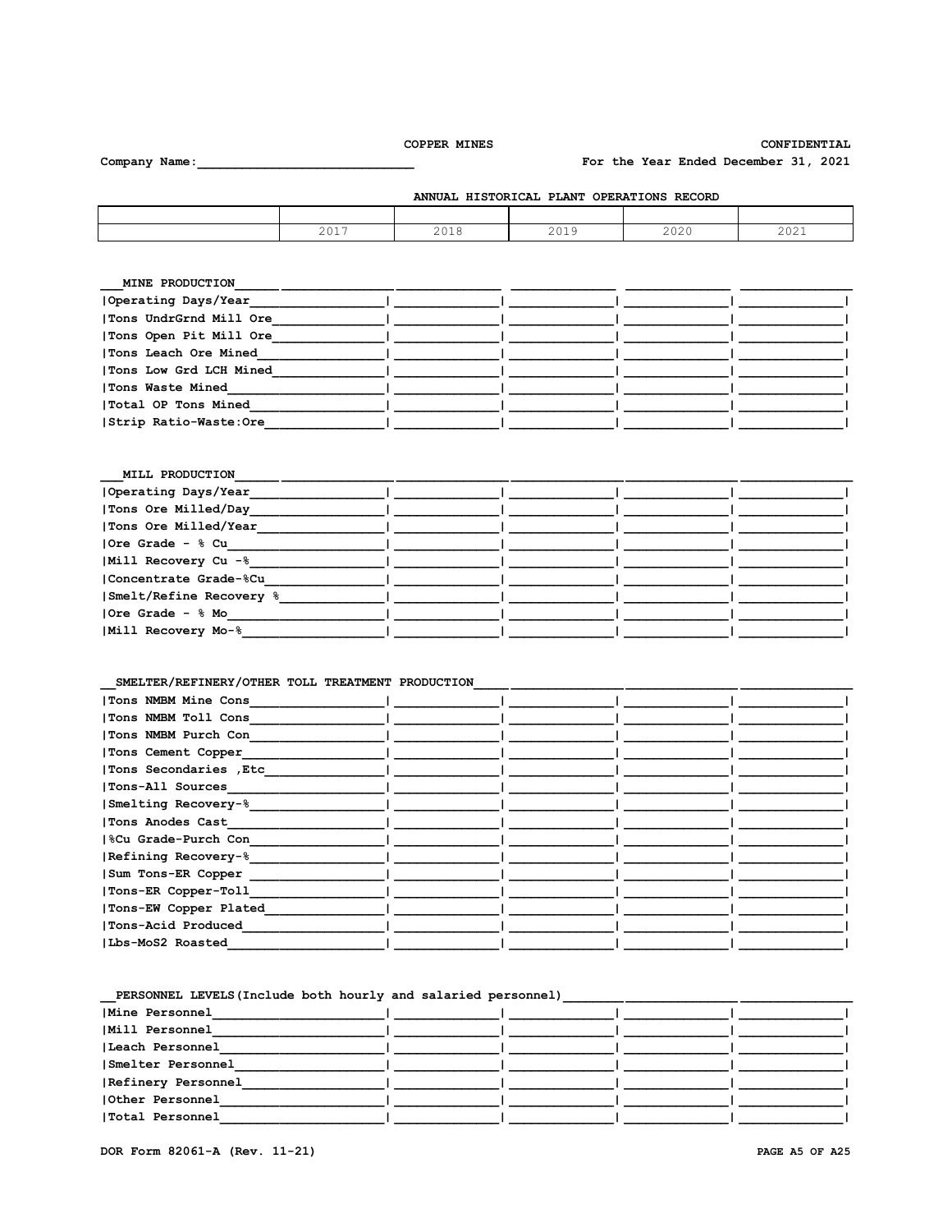CONFIDENTIAL

For the Year Ended December 31, 2021

| ANNUAL HISTORICAL PLANT OPERATIONS RECORD |      |  |      |                      |                             |  |  |  |
|-------------------------------------------|------|--|------|----------------------|-----------------------------|--|--|--|
|                                           |      |  |      |                      |                             |  |  |  |
|                                           | 2017 |  | 2019 | $\cap$ $\cap$ $\cap$ | $\cap$ $\cap$ $\cap$ $\cap$ |  |  |  |

| MINE PRODUCTION        |  |  |
|------------------------|--|--|
| Operating Days/Year    |  |  |
| Tons UndrGrnd Mill Ore |  |  |
| Tons Open Pit Mill Ore |  |  |
| Tons Leach Ore Mined   |  |  |
| Tons Low Grd LCH Mined |  |  |
| Tons Waste Mined       |  |  |
| Total OP Tons Mined    |  |  |
| Strip Ratio-Waste:Ore  |  |  |

| Operating Days/Year<br>Tons Ore Milled/Day<br>Tons Ore Milled/Year<br> Ore Grade - % Cu<br>Mill Recovery Cu -%<br> Concentrate Grade-%Cu<br>Smelt/Refine Recovery %<br>$10re$ Grade - $%$ Mo<br>Mill Recovery Mo-% | MILL PRODUCTION |  |  |
|--------------------------------------------------------------------------------------------------------------------------------------------------------------------------------------------------------------------|-----------------|--|--|
|                                                                                                                                                                                                                    |                 |  |  |
|                                                                                                                                                                                                                    |                 |  |  |
|                                                                                                                                                                                                                    |                 |  |  |
|                                                                                                                                                                                                                    |                 |  |  |
|                                                                                                                                                                                                                    |                 |  |  |
|                                                                                                                                                                                                                    |                 |  |  |
|                                                                                                                                                                                                                    |                 |  |  |
|                                                                                                                                                                                                                    |                 |  |  |
|                                                                                                                                                                                                                    |                 |  |  |

# 

| Tons NMBM Mine Cons    |  |  |
|------------------------|--|--|
| Tons NMBM Toll Cons    |  |  |
| Tons NMBM Purch Con    |  |  |
| Tons Cement Copper     |  |  |
| Tons Secondaries , Etc |  |  |
| Tons-All Sources       |  |  |
| Smelting Recovery-%    |  |  |
| Tons Anodes Cast       |  |  |
| 8Cu Grade-Purch Con    |  |  |
| Refining Recovery-%    |  |  |
| Sum Tons-ER Copper     |  |  |
| Tons-ER Copper-Toll    |  |  |
| Tons-EW Copper Plated  |  |  |
| Tons-Acid Produced     |  |  |
| Lbs-MoS2 Roasted       |  |  |
|                        |  |  |

# 

| Mine Personnel     |  |  |
|--------------------|--|--|
| Mill Personnel     |  |  |
| Leach Personnel    |  |  |
| Smelter Personnel  |  |  |
| Refinery Personnel |  |  |
| Other Personnel    |  |  |
| Total Personnel    |  |  |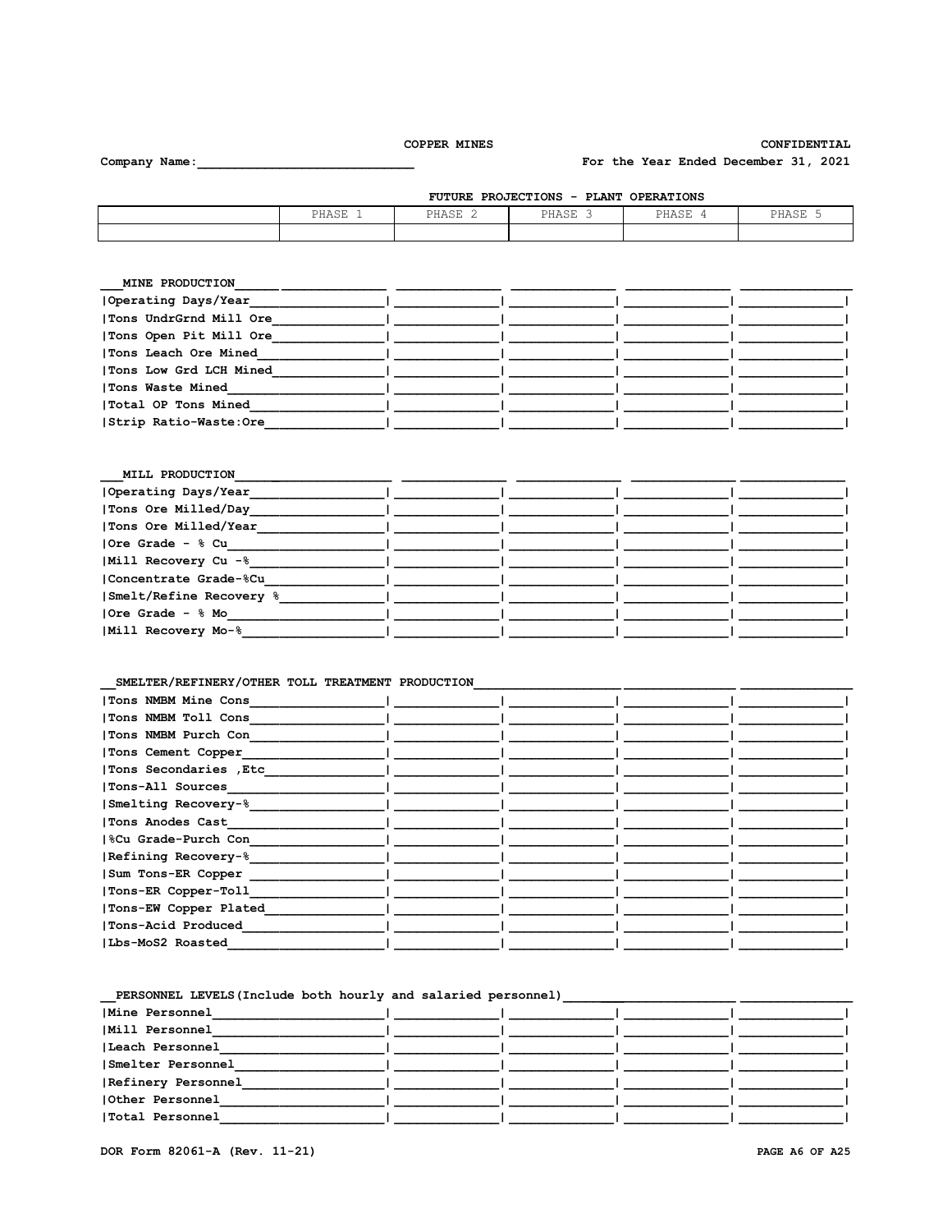CONFIDENTIAL

For the Year Ended December 31, 2021

Company Name:

| <b>FUTURE PROJECTIONS</b><br>- PLANT OPERATIONS |       |       |       |       |       |  |  |
|-------------------------------------------------|-------|-------|-------|-------|-------|--|--|
|                                                 | PHASE | PHASE | PHASE | PHASE | PHASE |  |  |
|                                                 |       |       |       |       |       |  |  |

| MINE PRODUCTION        |  |  |
|------------------------|--|--|
| Operating Days/Year    |  |  |
| Tons UndrGrnd Mill Ore |  |  |
| Tons Open Pit Mill Ore |  |  |
| Tons Leach Ore Mined   |  |  |
| Tons Low Grd LCH Mined |  |  |
| Tons Waste Mined       |  |  |
| Total OP Tons Mined    |  |  |
| Strip Ratio-Waste:Ore  |  |  |

| MILL PRODUCTION         |  |  |
|-------------------------|--|--|
| Operating Days/Year     |  |  |
| Tons Ore Milled/Day     |  |  |
| Tons Ore Milled/Year    |  |  |
| Ore Grade - % Cu        |  |  |
| Mill Recovery Cu -%     |  |  |
| Concentrate Grade-%Cu   |  |  |
| Smelt/Refine Recovery % |  |  |
| Ore Grade - % Mo        |  |  |
| Mill Recovery Mo-%      |  |  |

# SMELTER/REFINERY/OTHER TOLL TREATMENT PRODUCTION

| Tons NMBM Mine Cons    |  |  |
|------------------------|--|--|
| Tons NMBM Toll Cons    |  |  |
| Tons NMBM Purch Con    |  |  |
| Tons Cement Copper     |  |  |
| Tons Secondaries , Etc |  |  |
| Tons-All Sources       |  |  |
| Smelting Recovery-%    |  |  |
| Tons Anodes Cast       |  |  |
| %Cu Grade-Purch Con    |  |  |
| Refining Recovery-%    |  |  |
| Sum Tons-ER Copper     |  |  |
| Tons-ER Copper-Toll    |  |  |
| Tons-EW Copper Plated  |  |  |
| Tons-Acid Produced     |  |  |
| Lbs-MoS2 Roasted       |  |  |
|                        |  |  |

| Mine Personnel     |  |  |
|--------------------|--|--|
| Mill Personnel     |  |  |
| Leach Personnel    |  |  |
| Smelter Personnel  |  |  |
| Refinery Personnel |  |  |
| Other Personnel    |  |  |
| Total Personnel    |  |  |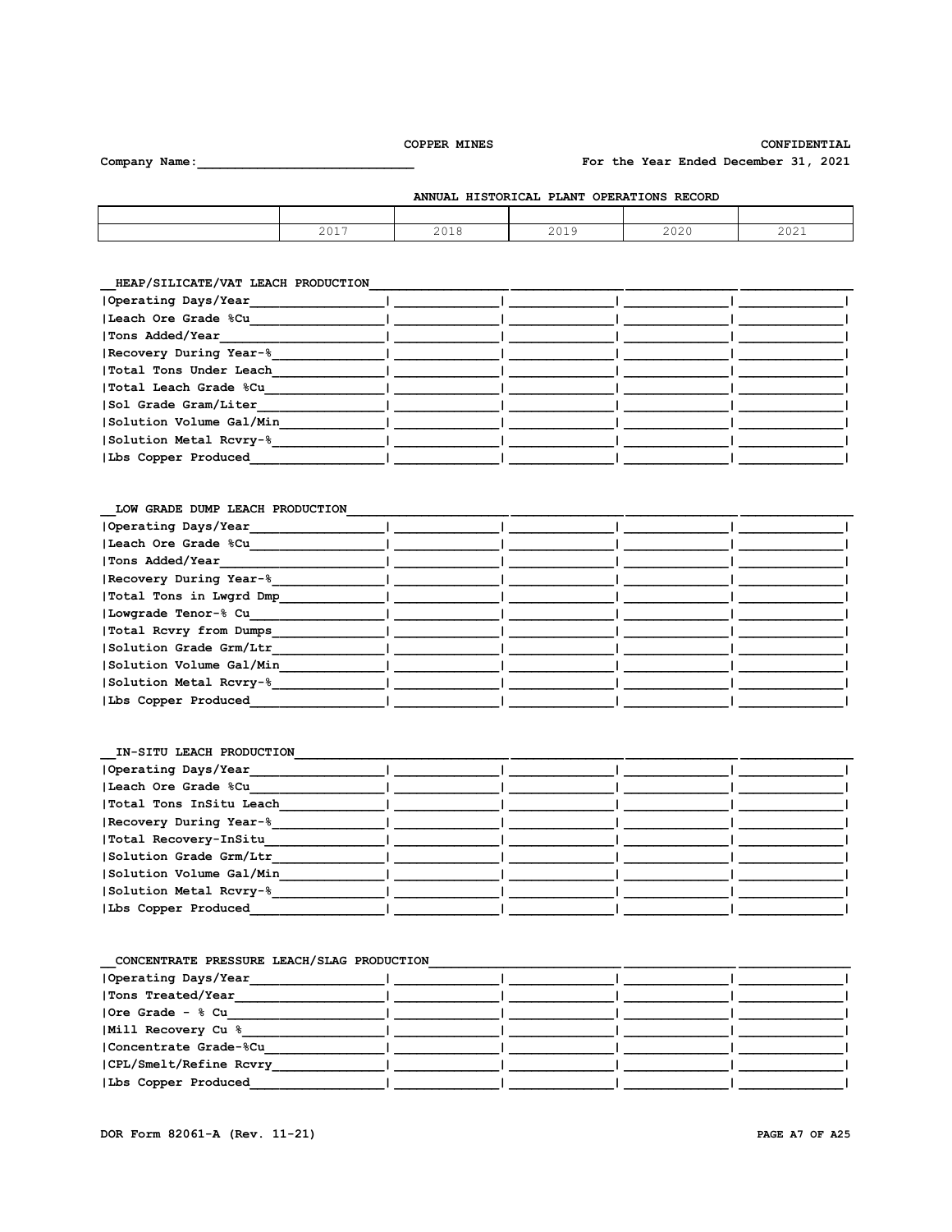$\overline{\phantom{0}}$ 

# CONFIDENTIAL For the Year Ended December 31, 2021

Company Name:

| <b>PLANT</b><br>RECORD<br><b>HISTORICAL</b><br><b>OPERATIONS</b><br><b>ANNUAL</b> |             |                 |                 |      |             |  |
|-----------------------------------------------------------------------------------|-------------|-----------------|-----------------|------|-------------|--|
|                                                                                   |             |                 |                 |      |             |  |
|                                                                                   | 2017<br>∠∪⊥ | n n 1 0<br>ZUIC | 2010<br>2 U 1 3 | 2020 | 201<br>ZUZI |  |

| Operating Days/Year     |  |  |
|-------------------------|--|--|
| Leach Ore Grade %Cu     |  |  |
| Tons Added/Year         |  |  |
| Recovery During Year-%  |  |  |
| Total Tons Under Leach  |  |  |
| Total Leach Grade %Cu   |  |  |
| Sol Grade Gram/Liter    |  |  |
| Solution Volume Gal/Min |  |  |
| Solution Metal Rcvry-%  |  |  |
| Lbs Copper Produced     |  |  |
|                         |  |  |

#### LOW GRADE DUMP LEACH PRODUCTION

| Operating Days/Year     |  |  |
|-------------------------|--|--|
| Leach Ore Grade %Cu     |  |  |
| Tons Added/Year         |  |  |
| Recovery During Year-%  |  |  |
| Total Tons in Lwgrd Dmp |  |  |
| Lowgrade Tenor-% Cu     |  |  |
| Total Rovry from Dumps  |  |  |
| Solution Grade Grm/Ltr  |  |  |
| Solution Volume Gal/Min |  |  |
| Solution Metal Rcvry-%  |  |  |
| Lbs Copper Produced     |  |  |
|                         |  |  |

| CONCENTRATE PRESSURE LEACH/SLAG PRODUCTION |  |  |
|--------------------------------------------|--|--|
| Operating Days/Year                        |  |  |
| Tons Treated/Year                          |  |  |
| Ore Grade - % Cu                           |  |  |
| Mill Recovery Cu %                         |  |  |
| Concentrate Grade-%Cu                      |  |  |
| CPL/Smelt/Refine Rcvry                     |  |  |
| Lbs Copper Produced                        |  |  |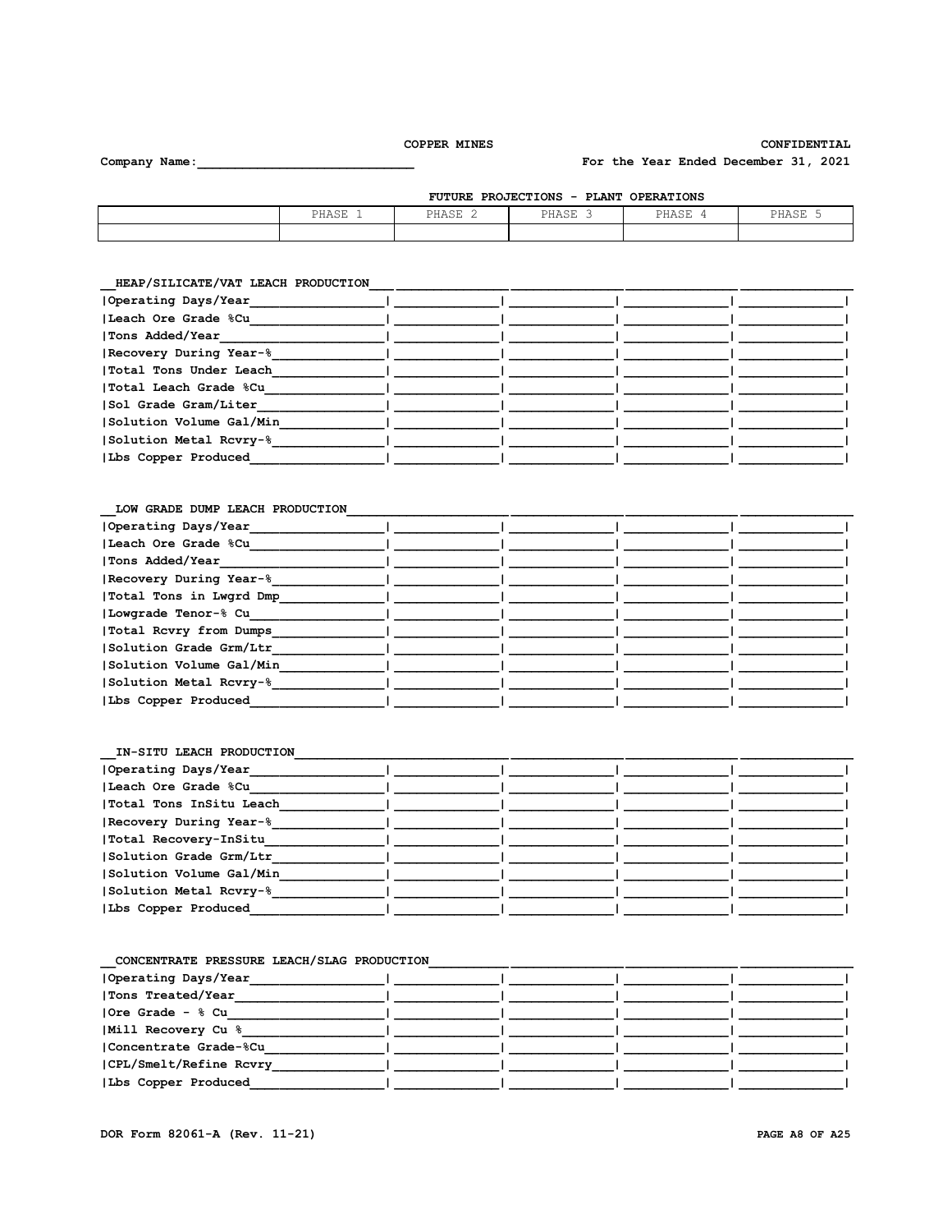L.

# CONFIDENTIAL

For the Year Ended December 31, 2021

| PROJECTIONS<br><b>OPERATIONS</b><br><b>FUTURE</b><br>PLANT<br>$\sim$ |       |       |       |       |       |  |
|----------------------------------------------------------------------|-------|-------|-------|-------|-------|--|
|                                                                      | PHASE | PHASE | PHASE | PHASE | PHASE |  |
|                                                                      |       |       |       |       |       |  |

HEAP/SILICATE/VAT LEACH PRODUCTION

Company Name:

| Operating Days/Year     |  |  |
|-------------------------|--|--|
| Leach Ore Grade %Cu     |  |  |
| Tons Added/Year         |  |  |
| Recovery During Year-%  |  |  |
| Total Tons Under Leach  |  |  |
| Total Leach Grade %Cu   |  |  |
| Sol Grade Gram/Liter    |  |  |
| Solution Volume Gal/Min |  |  |
| Solution Metal Rcvry-%  |  |  |
| Lbs Copper Produced     |  |  |

# LOW GRADE DUMP LEACH PRODUCTION

| Operating Days/Year     |  |  |
|-------------------------|--|--|
| Leach Ore Grade %Cu     |  |  |
| Tons Added/Year         |  |  |
| Recovery During Year-%  |  |  |
| Total Tons in Lwgrd Dmp |  |  |
| Lowgrade Tenor-% Cu     |  |  |
| Total Rovry from Dumps  |  |  |
| Solution Grade Grm/Ltr  |  |  |
| Solution Volume Gal/Min |  |  |
| Solution Metal Rcvry-%  |  |  |
| Lbs Copper Produced     |  |  |
|                         |  |  |

| Operating Days/Year<br>Leach Ore Grade %Cu<br> Total Tons InSitu Leach<br>Recovery During Year-%<br> Total Recovery-InSitu<br>Solution Grade Grm/Ltr<br>Solution Volume Gal/Min<br>Solution Metal Rcvry-%<br>Lbs Copper Produced | IN-SITU LEACH PRODUCTION |  |  |
|----------------------------------------------------------------------------------------------------------------------------------------------------------------------------------------------------------------------------------|--------------------------|--|--|
|                                                                                                                                                                                                                                  |                          |  |  |
|                                                                                                                                                                                                                                  |                          |  |  |
|                                                                                                                                                                                                                                  |                          |  |  |
|                                                                                                                                                                                                                                  |                          |  |  |
|                                                                                                                                                                                                                                  |                          |  |  |
|                                                                                                                                                                                                                                  |                          |  |  |
|                                                                                                                                                                                                                                  |                          |  |  |
|                                                                                                                                                                                                                                  |                          |  |  |
|                                                                                                                                                                                                                                  |                          |  |  |

| CONCENTRATE PRESSURE LEACH/SLAG PRODUCTION |  |  |
|--------------------------------------------|--|--|
| Operating Days/Year                        |  |  |
| Tons Treated/Year                          |  |  |
| Ore Grade - % Cu                           |  |  |
| Mill Recovery Cu %                         |  |  |
| Concentrate Grade-%Cu                      |  |  |
| CPL/Smelt/Refine Rcvry                     |  |  |
| Lbs Copper Produced                        |  |  |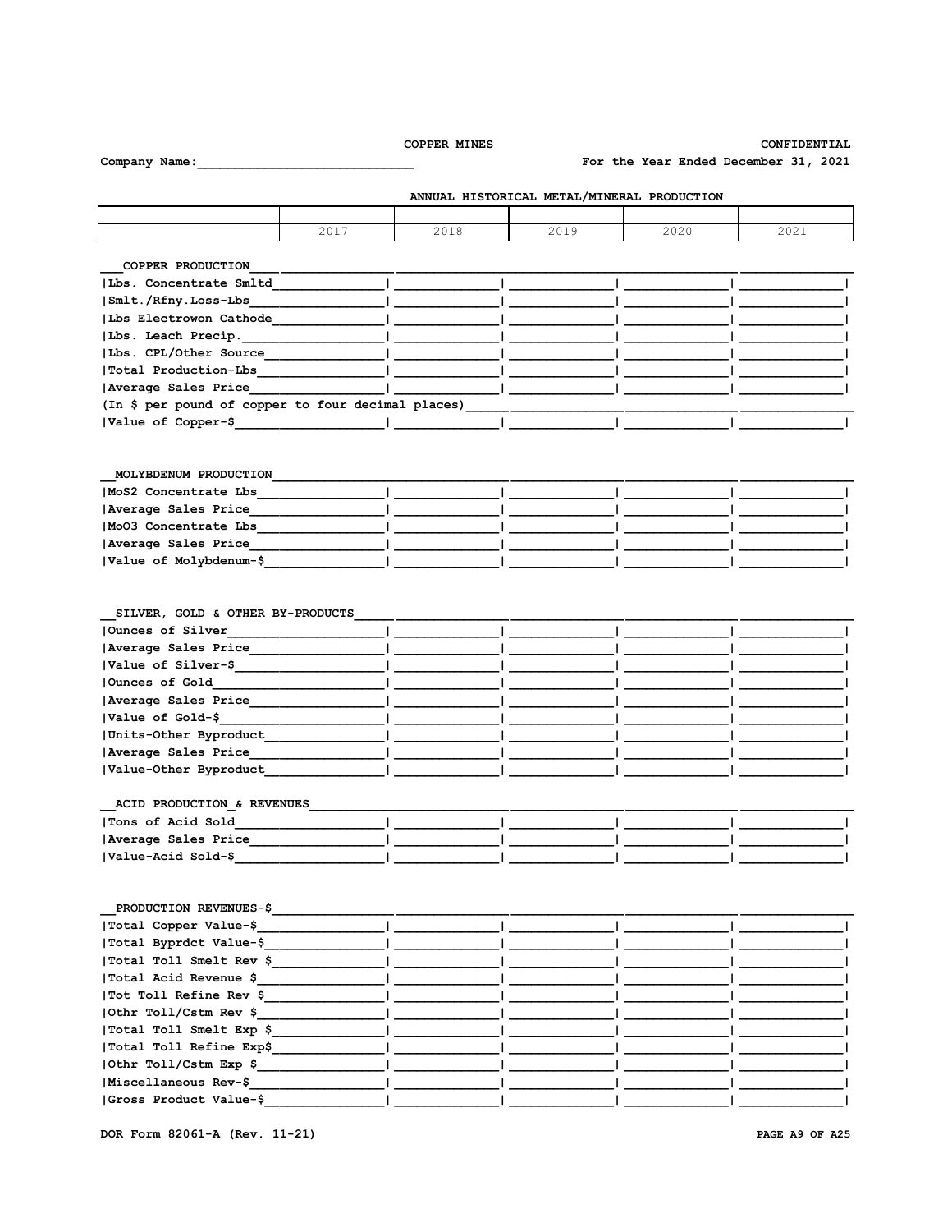CONFIDENTIAL

2021

For the Year Ended December 31, 2021

2020

2017 2018 2019 COPPER PRODUCTION |Lbs. Concentrate Smltd |Smlt./Rfny.Loss-Lbs | Lbs Electrowon Cathode | Lbs. Leach Precip. | Lbs. CPL/Other Source |Total Production-Lbs | Average Sales Price (In \$ per pound of copper to four decimal places) |Value of Copper-\$  $\mathbf{L}$ MOLYBDENUM PRODUCTION MoS2 Concentrate Lbs Average Sales Price Mo03 Concentrate Lbs Average Sales Price |Value of Molybdenum-\$ SILVER, GOLD & OTHER BY-PRODUCTS Ounces of Silver | Average Sales Price |Value of Silver-\$ Ounces of Gold Average Sales Price |Value of Gold-\$ Units-Other Byproduct |Value-Acid Sold-\$ PRODUCTION REVENUES-\$ |Total Copper Value-\$ |Total Byprdct Value-\$ |Total Toll Smelt Rev \$ |Total Acid Revenue \$ |Tot Toll Refine Rev \$ |Othr Toll/Cstm Rev \$ |Total Toll Smelt Exp \$ |Total Toll Refine Exp\$ |Othr Toll/Cstm Exp \$

Average Sales Price |Value-Other Byproduct ACID PRODUCTION & REVENUES |Tons of Acid Sold Average Sales Price

DOR Form 82061-A (Rev. 11-21)

|Miscellaneous Rev-\$ |Gross Product Value-\$ ANNUAL HISTORICAL METAL/MINERAL PRODUCTION

Company Name: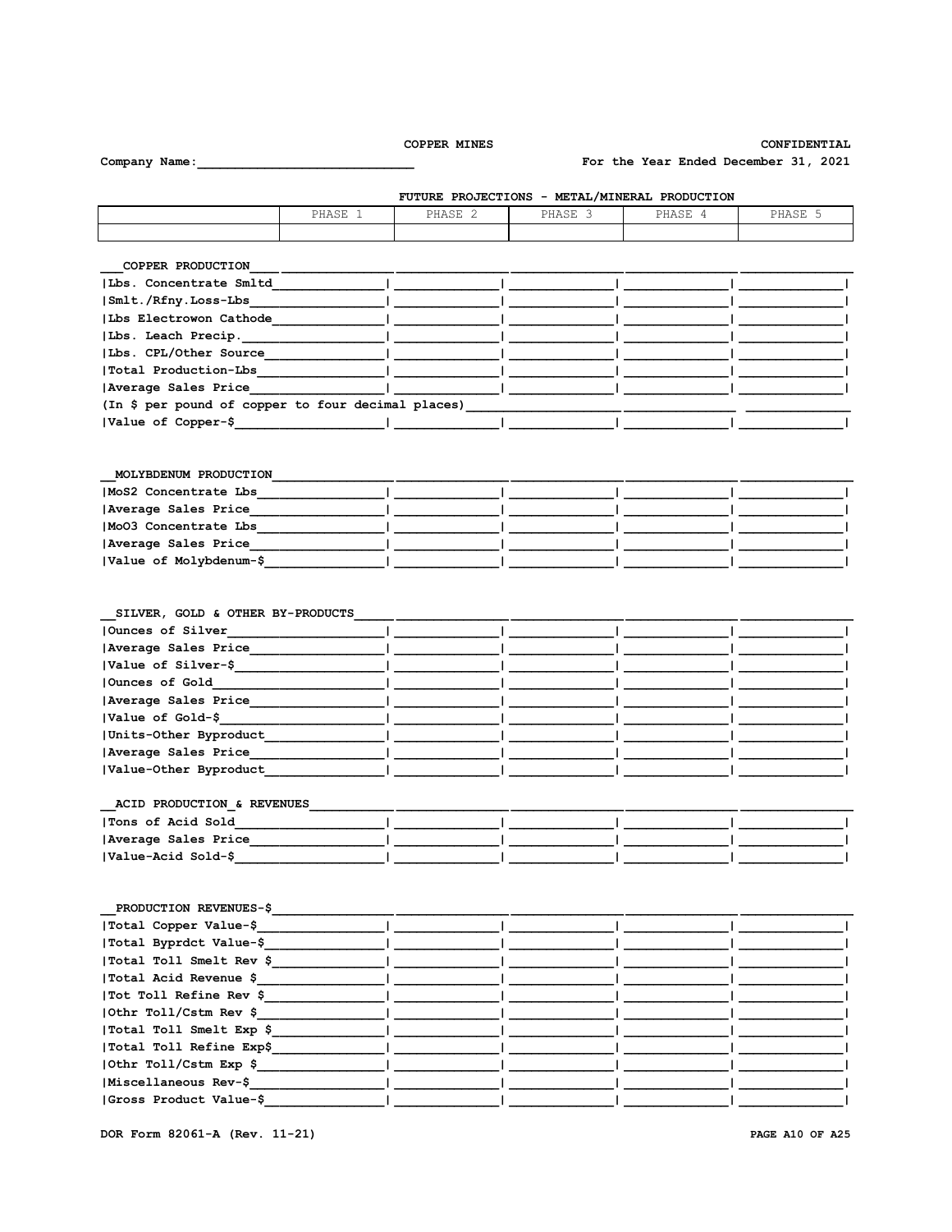# CONFIDENTIAL

For the Year Ended December 31, 2021

FUTURE PROJECTIONS - METAL/MINERAL PRODUCTION PHASE 1 PHASE 2 PHASE 3 PHASE 4 PHASE 5 COPPER PRODUCTION | Lbs. Concentrate Smltd |Smlt./Rfny.Loss-Lbs | Lbs Electrowon Cathode | Lbs. Leach Precip. | Lbs. CPL/Other Source |Total Production-Lbs | Average Sales Price (In \$ per pound of copper to four decimal places) |Value of Copper-\$  $\mathbf{L}$ MOLYBDENUM PRODUCTION MoS2 Concentrate Lbs Average Sales Price MoO3 Concentrate Lbs Average Sales Price |Value of Molybdenum-\$ SILVER, GOLD & OTHER BY-PRODUCTS Ounces of Silver | Average Sales Price |Value of Silver-\$ Ounces of Gold Average Sales Price |Value of Gold-\$ Units-Other Byproduct Average Sales Price |Value-Other Byproduct ACID PRODUCTION & REVENUES |Tons of Acid Sold Average Sales Price |Value-Acid Sold-\$ PRODUCTION REVENUES-\$ |Total Copper Value-\$ |Total Byprdct Value-\$ |Total Toll Smelt Rev \$ |Total Acid Revenue \$ |Tot Toll Refine Rev \$ |Othr Toll/Cstm Rev \$ |Total Toll Smelt Exp \$ |Total Toll Refine Exp\$ |Othr Toll/Cstm Exp \$ |Miscellaneous Rev-\$

|Gross Product Value-\$

Company Name:

PAGE A10 OF A25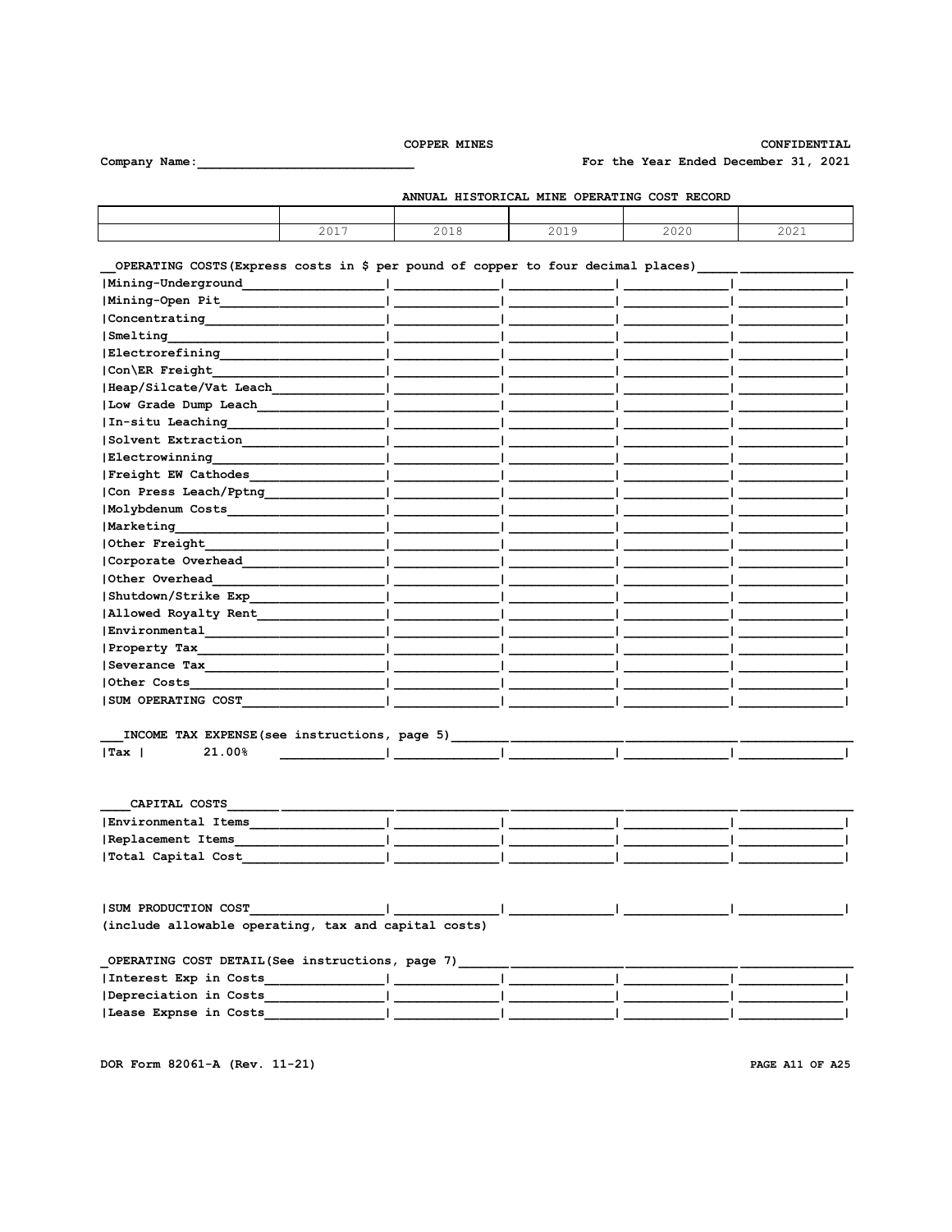CONFIDENTIAL

For the Year Ended December 31, 2021

Company Name:

| ANNUAL HISTORICAL MINE OPERATING COST RECORD |      |      |      |      |                             |  |
|----------------------------------------------|------|------|------|------|-----------------------------|--|
|                                              |      |      |      |      |                             |  |
|                                              | 2017 | 2018 | 2019 | 2020 | $\cap$ $\cap$ $\cap$ $\cap$ |  |

# OPERATING COSTS (Express costs in \$ per pound of copper to four decimal places) \_\_\_\_\_\_\_\_\_\_\_\_\_\_\_\_\_\_\_\_

| Mining-Underground                                                                                             |  |  |
|----------------------------------------------------------------------------------------------------------------|--|--|
| Mining-Open Pit                                                                                                |  |  |
| Concentrating                                                                                                  |  |  |
| Smelting                                                                                                       |  |  |
| Electrorefining                                                                                                |  |  |
| Con\ER Freight                                                                                                 |  |  |
| Heap/Silcate/Vat Leach                                                                                         |  |  |
| Low Grade Dump Leach                                                                                           |  |  |
| In-situ Leaching                                                                                               |  |  |
| Solvent Extraction                                                                                             |  |  |
| Electrowinning                                                                                                 |  |  |
| Freight EW Cathodes                                                                                            |  |  |
| Con Press Leach/Pptng                                                                                          |  |  |
| Molybdenum Costs                                                                                               |  |  |
| Marketing                                                                                                      |  |  |
| Other Freight                                                                                                  |  |  |
| Corporate Overhead                                                                                             |  |  |
| Other Overhead                                                                                                 |  |  |
| Shutdown/Strike Exp                                                                                            |  |  |
| Allowed Royalty Rent                                                                                           |  |  |
| Environmental                                                                                                  |  |  |
| Property Tax                                                                                                   |  |  |
|                                                                                                                |  |  |
| Other Costs and the cost of the cost of the cost of the cost of the cost of the cost of the cost of the cost o |  |  |
| <b>SUM OPERATING COST</b>                                                                                      |  |  |
|                                                                                                                |  |  |

| __         | INCOME TAX EXPENSE (see instructions, | page.<br>. د |  |  |
|------------|---------------------------------------|--------------|--|--|
| <b>Tax</b> | 00%                                   |              |  |  |

| CAPITAL COSTS       |  |  |  |
|---------------------|--|--|--|
| Environmental Items |  |  |  |
| Replacement Items   |  |  |  |
| Total Capital Cost  |  |  |  |

| OPERATING COST DETAIL(See instructions, page 7) |  |  |  |
|-------------------------------------------------|--|--|--|
| Interest Exp in Costs                           |  |  |  |
| Depreciation in Costs                           |  |  |  |
| Lease Expnse in Costs                           |  |  |  |

DOR Form 82061-A (Rev. 11-21)

PAGE A11 OF A25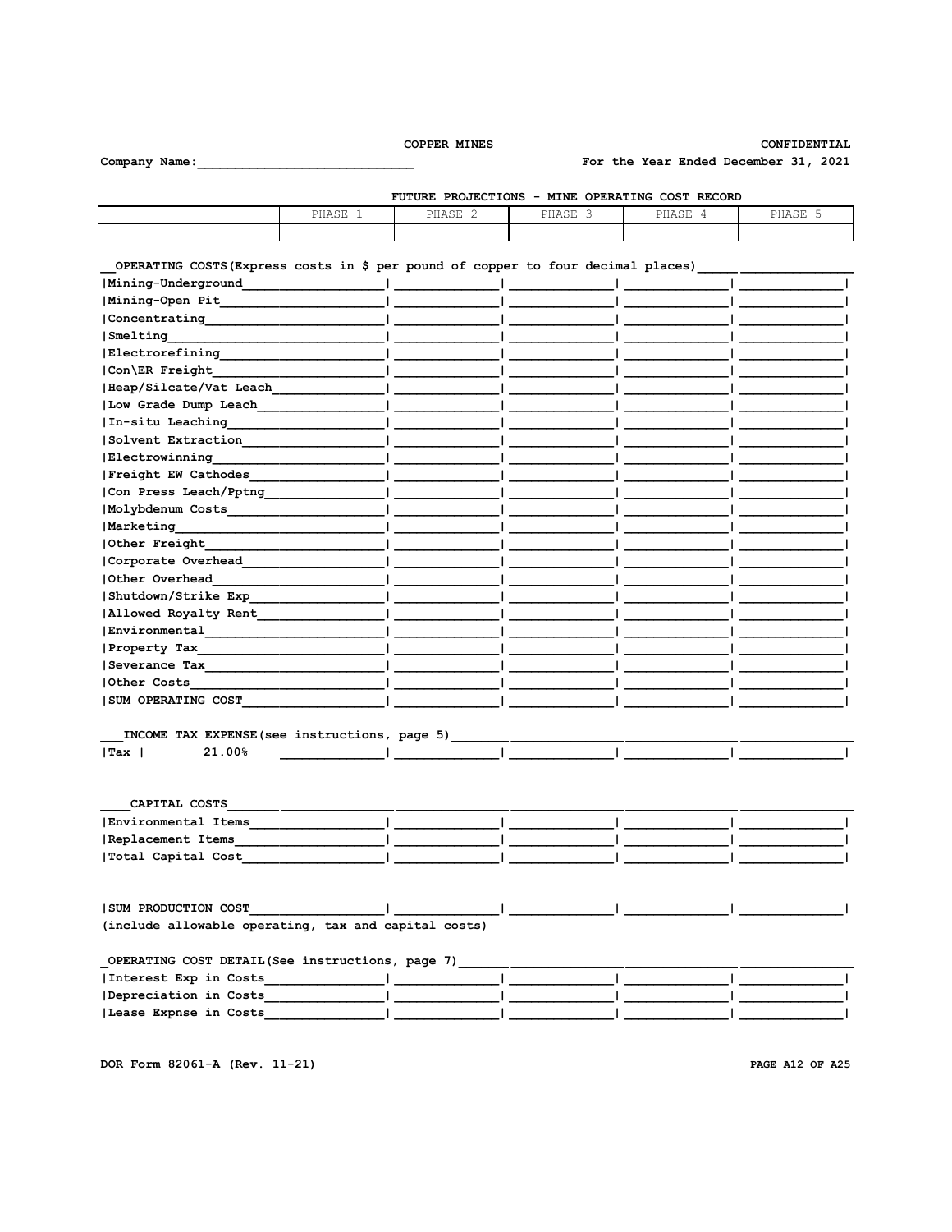CONFIDENTIAL

For the Year Ended December 31, 2021

Company Name:

|       |         |         | FUTURE PROJECTIONS - MINE OPERATING COST RECORD |         |
|-------|---------|---------|-------------------------------------------------|---------|
| PHASE | PHASE 2 | PHASE 3 | PHASE                                           | PHASE . |
|       |         |         |                                                 |         |

# OPERATING COSTS (Express costs in \$ per pound of copper to four decimal places) Mining-Underground - 1  $\mathbf{I}$ J.  $|Concentrating$ |Smelting Electrorefining Con\ER Freight |Heap/Silcate/Vat Leach | Low Grade Dump Leach In-situ Leaching Solvent Extraction  $\mathbf{I}$ Electrowinning |Freight EW Cathodes | Con Press Leach/Pptng Molybdenum Costs **Marketing** Other Freight Corporate Overhead Other Overhead Shutdown/Strike Exp | Allowed Royalty Rent\_  $| \texttt{Environmental}\_$ Property Tax\_ Severance Tax Other Costs **ISUM OPERATING COST**

| INCOME.<br>__ | .AX EXPENSE (see instructions. "<br>TAX | . | page |  |  |
|---------------|-----------------------------------------|---|------|--|--|
| ∪Tax          | 00 <sub>5</sub>                         |   |      |  |  |

| CAPITAL COSTS       |  |  |  |
|---------------------|--|--|--|
| Environmental Items |  |  |  |
| Replacement Items   |  |  |  |
| Total Capital Cost  |  |  |  |

| ISUM PRODUCTION COST                                 |  |  |
|------------------------------------------------------|--|--|
| (include allowable operating, tax and capital costs) |  |  |

| OPERATING COST DETAIL (See instructions, page 7) |  |  |  |
|--------------------------------------------------|--|--|--|
| Interest Exp in Costs                            |  |  |  |
| Depreciation in Costs                            |  |  |  |
| Lease Expnse in Costs                            |  |  |  |

DOR Form 82061-A (Rev. 11-21)

PAGE A12 OF A25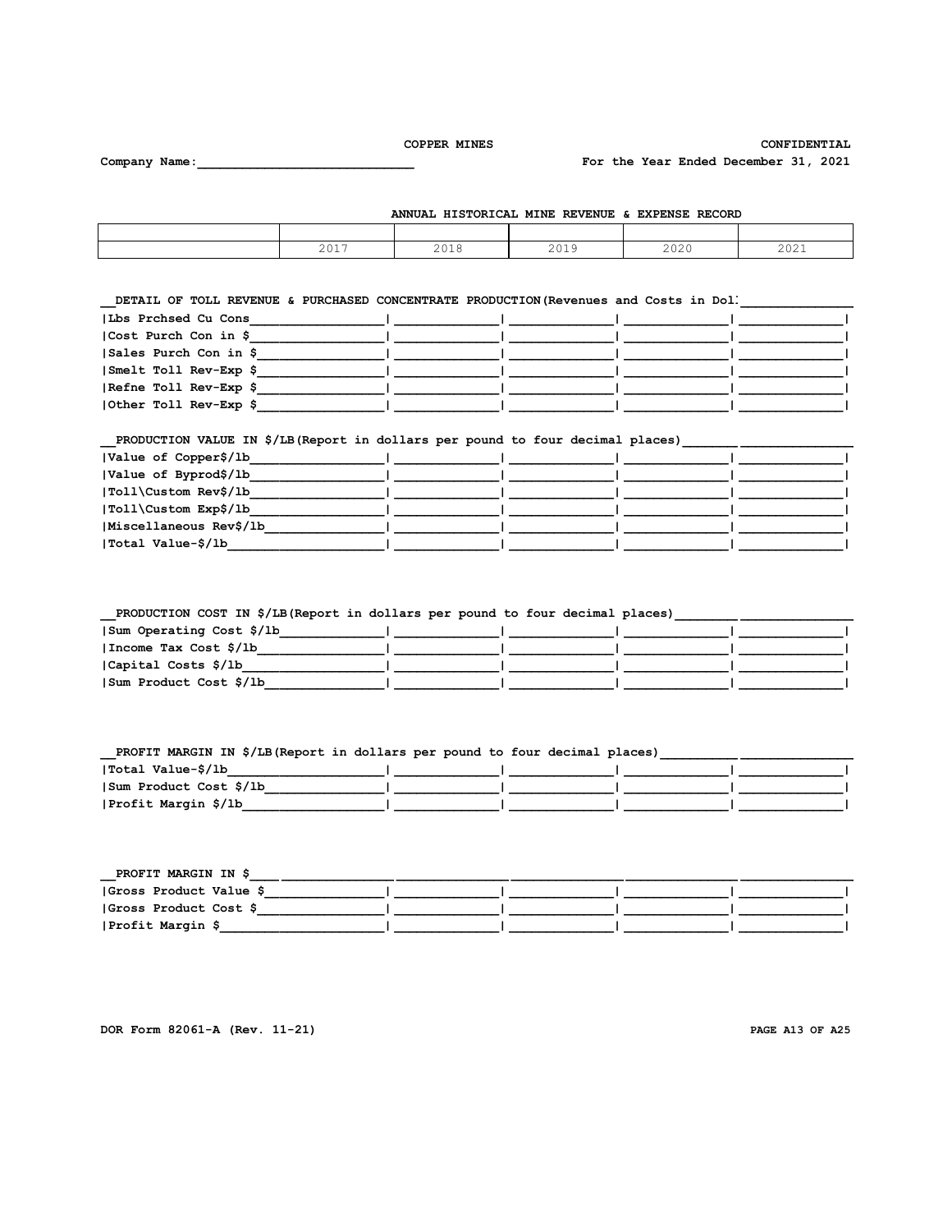Company Name:

CONFIDENTIAL

For the Year Ended December 31, 2021

ANNUAL HISTORICAL MINE REVENUE & EXPENSE RECORD

| 2017 | 2018 | 2019 | 2020 | 2021 |
|------|------|------|------|------|

DETAIL OF TOLL REVENUE & PURCHASED CONCENTRATE PRODUCTION (Revenues and Costs in Doll Concentration of the Concentration of the Concentration of the Concentration of the Concentration of the Concentration of the Concentrat

| Lbs Prchsed Cu Cons   |  |  |
|-----------------------|--|--|
| Cost Purch Con in \$  |  |  |
| Sales Purch Con in \$ |  |  |
| Smelt Toll Rev-Exp \$ |  |  |
| Refne Toll Rev-Exp \$ |  |  |
| Other Toll Rev-Exp \$ |  |  |

# \_\_PRODUCTION VALUE IN \$/LB(Report in dollars per pound to four decimal places)\_\_\_\_\_\_\_\_\_\_\_\_\_\_\_\_\_\_\_\_\_\_\_\_\_\_\_\_\_\_\_\_

| Value of Copper\$/1b   |  |  |
|------------------------|--|--|
| Value of Byprod\$/lb   |  |  |
| Toll\Custom Rev\$/lb   |  |  |
| Toll\Custom Exp\$/lb   |  |  |
| Miscellaneous Rev\$/1b |  |  |
| Total Value-\$/1b      |  |  |

\_\_PRODUCTION COST IN \$/LB(Report in dollars per pound to four decimal places)\_\_\_\_\_\_\_\_\_\_\_\_\_\_\_\_\_\_\_\_\_\_\_

| Sum Operating Cost \$/1b |  |  |
|--------------------------|--|--|
| Income Tax Cost \$/1b    |  |  |
| Capital Costs \$/1b      |  |  |
| Sum Product Cost \$/1b   |  |  |

| PROFIT MARGIN IN \$/LB(Report in dollars per pound to four decimal places) |  |  |  |
|----------------------------------------------------------------------------|--|--|--|
| Total Value-\$/lb                                                          |  |  |  |
| Sum Product Cost \$/1b                                                     |  |  |  |
| Profit Margin \$/1b                                                        |  |  |  |

| PROFIT MARGIN IN \$     |  |  |
|-------------------------|--|--|
| (Gross Product Value \$ |  |  |
| Gross Product Cost \$   |  |  |
| Profit Margin \$        |  |  |

DOR Form 82061-A (Rev. 11-21)

PAGE A13 OF A25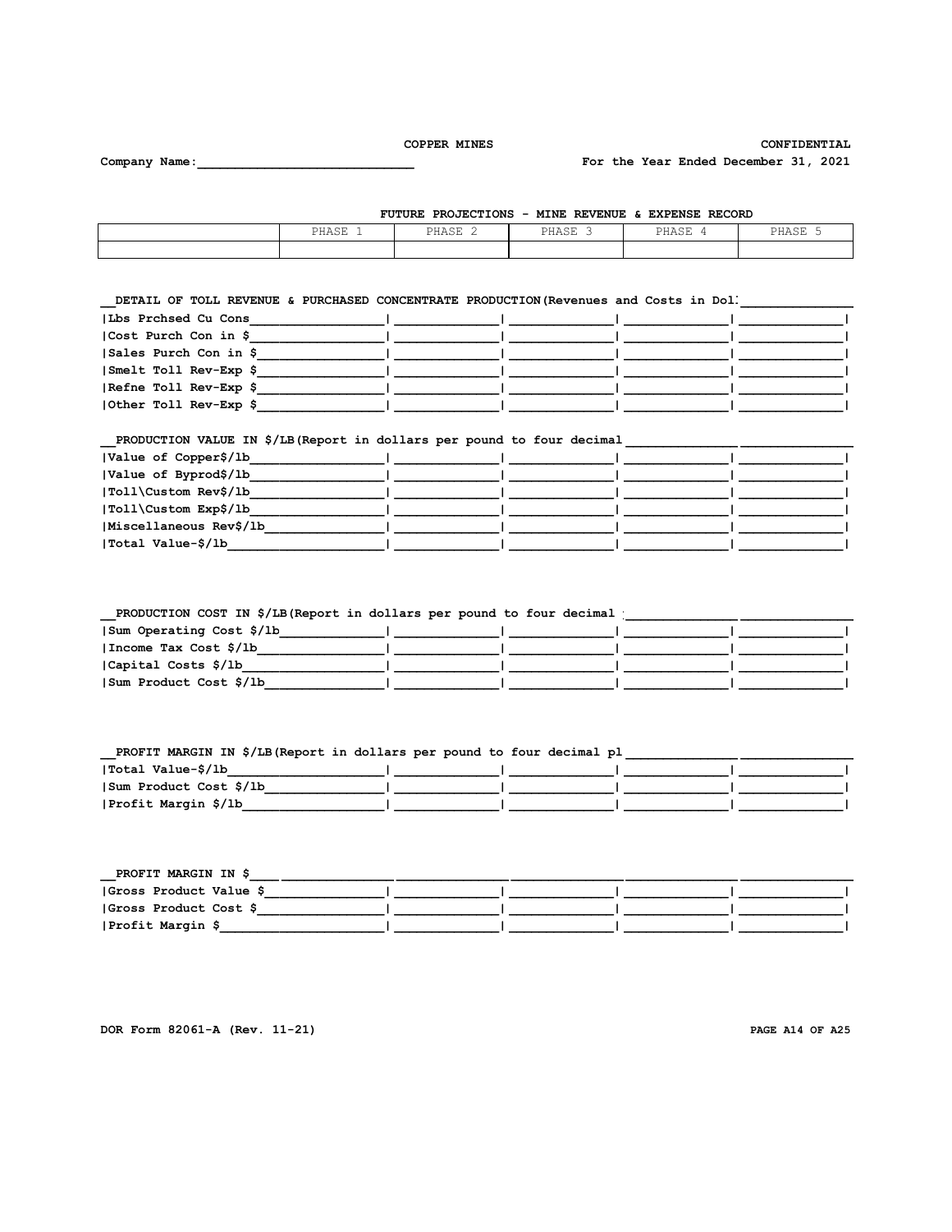CONFIDENTIAL

For the Year Ended December 31, 2021

Company Name:

| FUTURE PROJECTIONS - MINE REVENUE & EXPENSE RECORD |  |  |  |
|----------------------------------------------------|--|--|--|
|----------------------------------------------------|--|--|--|

| PHASE 1 | PHASE 2 | PHASE | PHASE | PHASE |
|---------|---------|-------|-------|-------|
|         |         |       |       |       |

DETAIL OF TOLL REVENUE & PURCHASED CONCENTRATE PRODUCTION (Revenues and Costs in Doll

| Lbs Prchsed Cu Cons                                                                                                                          |  |  |
|----------------------------------------------------------------------------------------------------------------------------------------------|--|--|
| Cost Purch Con in \$                                                                                                                         |  |  |
| Sales Purch Con in \$                                                                                                                        |  |  |
| Smelt Toll Rev-Exp \$                                                                                                                        |  |  |
| Refne Toll Rev-Exp \$                                                                                                                        |  |  |
| Other Toll Rev-Exp \$<br>and the contract of the contract of the contract of the contract of the contract of the contract of the contract of |  |  |

# 

| Value of Copper\$/1b   |  |  |
|------------------------|--|--|
| Value of Byprod\$/lb   |  |  |
| Toll\Custom Rev\$/lb   |  |  |
| Toll\Custom Exp\$/lb   |  |  |
| Miscellaneous Rev\$/1b |  |  |
| Total Value-\$/1b      |  |  |

# 

| Sum Operating Cost \$/1b |  |  |
|--------------------------|--|--|
| Income Tax Cost \$/1b    |  |  |
| Capital Costs \$/1b      |  |  |
| Sum Product Cost \$/1b   |  |  |

#### PROFIT MARGIN IN \$/LB(Report in dollars per pound to four decimal pl\_\_\_\_  $\mathbf{H}$  and  $\mathbf{H}$  $\blacksquare$  $|\text{Sum Product Cost } \zeta/\text{lb} \qquad |$ <u> 1999 - Jan Barbara Barat, prima a</u>  $\Box$  $\mathbf{1}$  $\overline{1}$ | Profit Margin \$/1b  $\mathbf{L}$  $\mathbf{I}$  $\mathbf{1}$

| PROFIT MARGIN IN \$     |  |  |
|-------------------------|--|--|
| (Gross Product Value \$ |  |  |
| Gross Product Cost \$   |  |  |
| Profit Margin \$        |  |  |

DOR Form 82061-A (Rev. 11-21)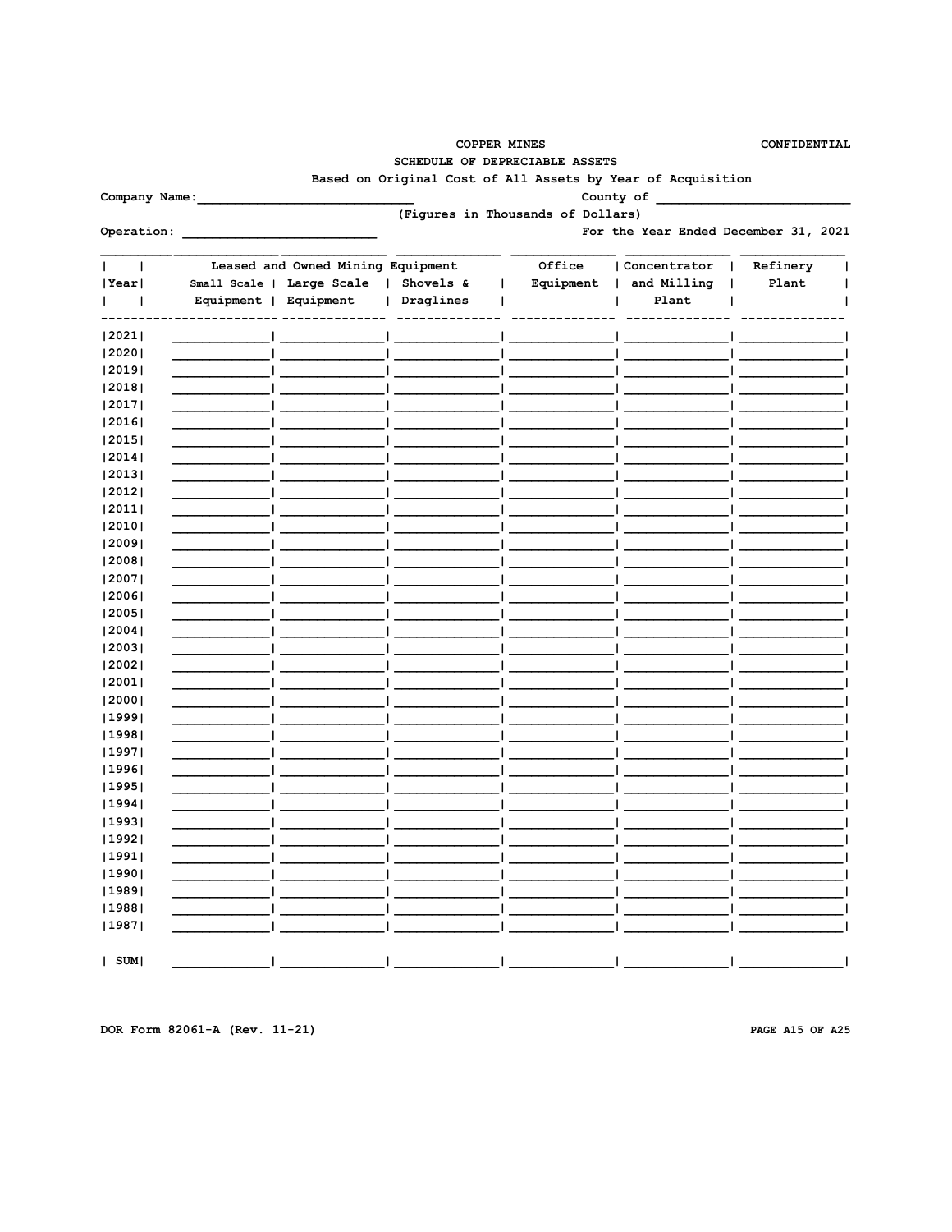CONFIDENTIAL

SCHEDULE OF DEPRECIABLE ASSETS

Based on Original Cost of All Assets by Year of Acquisition

Company Name:

County of (Figures in Thousands of Dollars)

For the Year Ended December 31, 2021

|             | Leased and Owned Mining Equipment |           | Office    | Concentrator | Refinery |  |
|-------------|-----------------------------------|-----------|-----------|--------------|----------|--|
| Year        | Small Scale   Large Scale         | Shovels & | Equipment | and Milling  | Plant    |  |
| I<br>ı      | Equipment  <br>Equipment          | Draglines |           | Plant        |          |  |
| 2021        |                                   |           |           |              |          |  |
| 2020        |                                   |           |           |              |          |  |
| 2019        |                                   |           |           |              |          |  |
| 2018        |                                   |           |           |              |          |  |
| 2017        |                                   |           |           |              |          |  |
| 2016        |                                   |           |           |              |          |  |
| 2015        |                                   |           |           |              |          |  |
| 2014        |                                   |           |           |              |          |  |
| 2013        |                                   |           |           |              |          |  |
| 2012        |                                   |           |           |              |          |  |
| 2011        |                                   |           |           |              |          |  |
| 2010        |                                   |           |           |              |          |  |
| 2009        |                                   |           |           |              |          |  |
| 2008        |                                   |           |           |              |          |  |
| 2007        |                                   |           |           |              |          |  |
| 2006        |                                   |           |           |              |          |  |
| 2005        |                                   |           |           |              |          |  |
| 2004        |                                   |           |           |              |          |  |
| 2003        |                                   |           |           |              |          |  |
| 2002        |                                   |           |           |              |          |  |
| 2001        |                                   |           |           |              |          |  |
| 2000        |                                   |           |           |              |          |  |
| 1999        |                                   |           |           |              |          |  |
| 1998        |                                   |           |           |              |          |  |
| 1997        |                                   |           |           |              |          |  |
| 1996        |                                   |           |           |              |          |  |
| 1995        |                                   |           |           |              |          |  |
| 1994        |                                   |           |           |              |          |  |
| 1993        |                                   |           |           |              |          |  |
| 1992        |                                   |           |           |              |          |  |
| 1991        |                                   |           |           |              |          |  |
| 1990        |                                   |           |           |              |          |  |
| 1989        |                                   |           |           |              |          |  |
| 1988        |                                   |           |           |              |          |  |
| 1987        |                                   |           |           |              |          |  |
| $ $ SUM $ $ |                                   |           |           |              |          |  |

DOR Form 82061-A (Rev. 11-21)

PAGE A15 OF A25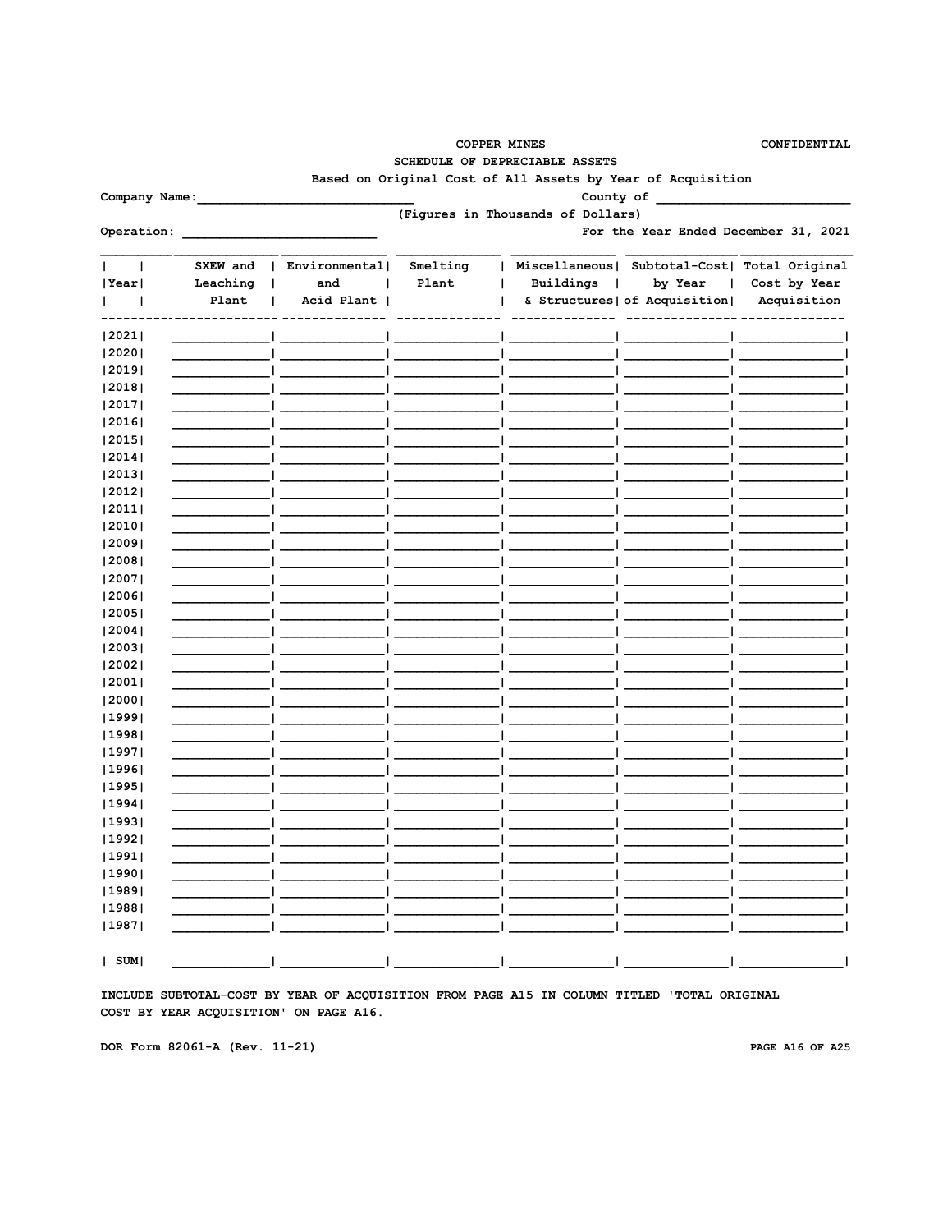| <b>COPPER MINES</b> |
|---------------------|
|---------------------|

CONFIDENTIAL

SCHEDULE OF DEPRECIABLE ASSETS

Based on Original Cost of All Assets by Year of Acquisition

County of

(Figures in Thousands of Dollars)

Operation: <u>\_\_\_\_\_\_\_\_\_\_\_\_\_\_\_\_\_\_\_\_\_\_\_\_\_\_\_\_\_\_\_\_\_</u>

Company Name:

For the Year Ended December 31, 2021

|             | SXEW and | Environmental <br>$\mathbf{I}$ | Smelting | Miscellaneous  |                               | Subtotal-Cost  Total Original |
|-------------|----------|--------------------------------|----------|----------------|-------------------------------|-------------------------------|
| Year        | Leaching | and<br>$\mathbf{I}$            | Plant    | Buildings<br>1 | by Year                       | Cost by Year                  |
|             | Plant    | Acid Plant                     |          |                | & Structures   of Acquisition | Acquisition                   |
| 2021        |          |                                |          |                |                               |                               |
| 2020        |          |                                |          |                |                               |                               |
| 2019        |          |                                |          |                |                               |                               |
| 2018        |          |                                |          |                |                               |                               |
| 2017        |          |                                |          |                |                               |                               |
| 2016        |          |                                |          |                |                               |                               |
| 2015        |          |                                |          |                |                               |                               |
| 2014        |          |                                |          |                |                               |                               |
| 2013        |          |                                |          |                |                               |                               |
| 2012        |          |                                |          |                |                               |                               |
| 2011        |          |                                |          |                |                               |                               |
| 2010        |          |                                |          |                |                               |                               |
| 2009        |          |                                |          |                |                               |                               |
| 2008        |          |                                |          |                |                               |                               |
| 2007        |          |                                |          |                |                               |                               |
| 2006        |          |                                |          |                |                               |                               |
| 2005        |          |                                |          |                |                               |                               |
| 2004        |          |                                |          |                |                               |                               |
| 2003        |          |                                |          |                |                               |                               |
| 2002        |          |                                |          |                |                               |                               |
| 2001        |          |                                |          |                |                               |                               |
| 2000        |          |                                |          |                |                               |                               |
| 1999        |          |                                |          |                |                               |                               |
| 1998        |          |                                |          |                |                               |                               |
| 1997        |          |                                |          |                |                               |                               |
| 1996        |          |                                |          |                |                               |                               |
| 1995        |          |                                |          |                |                               |                               |
| 1994        |          |                                |          |                |                               |                               |
| 1993        |          |                                |          |                |                               |                               |
| 1992        |          |                                |          |                |                               |                               |
| 1991        |          |                                |          |                |                               |                               |
| 1990        |          |                                |          |                |                               |                               |
| 1989        |          |                                |          |                |                               |                               |
| 1988        |          |                                |          |                |                               |                               |
| 1987        |          |                                |          |                |                               |                               |
| $ $ SUM $ $ |          |                                |          |                |                               |                               |

INCLUDE SUBTOTAL-COST BY YEAR OF ACQUISITION FROM PAGE A15 IN COLUMN TITLED 'TOTAL ORIGINAL COST BY YEAR ACQUISITION' ON PAGE A16.

DOR Form 82061-A (Rev. 11-21)

PAGE A16 OF A25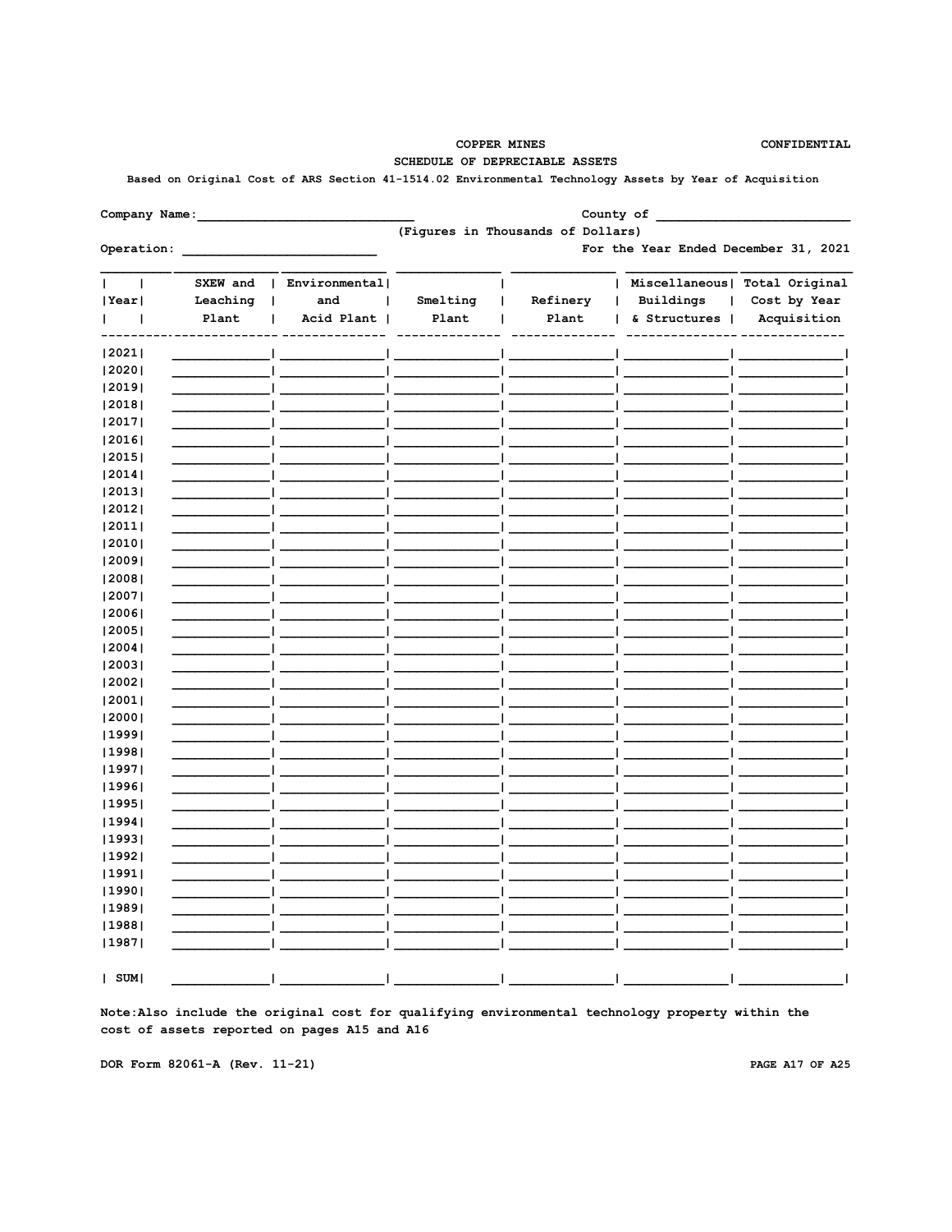**COPPER MINES** SCHEDULE OF DEPRECIABLE ASSETS CONFIDENTIAL

# Based on Original Cost of ARS Section 41-1514.02 Environmental Technology Assets by Year of Acquisition

| Company Name: |          |               |                                      |                                   | County of      |                               |  |  |  |  |  |
|---------------|----------|---------------|--------------------------------------|-----------------------------------|----------------|-------------------------------|--|--|--|--|--|
|               |          |               |                                      | (Figures in Thousands of Dollars) |                |                               |  |  |  |  |  |
| Operation:    |          |               | For the Year Ended December 31, 2021 |                                   |                |                               |  |  |  |  |  |
| 1             | SXEW and | Environmental |                                      |                                   | ı              | Miscellaneous  Total Original |  |  |  |  |  |
| Year          | Leaching | and<br>ı      | Smelting                             | Refinery                          | Buildings<br>1 | Cost by Year                  |  |  |  |  |  |
| $\mathbf{I}$  | Plant    | Acid Plant    | Plant                                | Plant                             | & Structures   | Acquisition                   |  |  |  |  |  |
| 2021          |          |               |                                      |                                   |                |                               |  |  |  |  |  |
| 2020          |          |               |                                      |                                   |                |                               |  |  |  |  |  |
| 2019          |          |               |                                      |                                   |                |                               |  |  |  |  |  |
| 2018          |          |               |                                      |                                   |                |                               |  |  |  |  |  |
| 2017          |          |               |                                      |                                   |                |                               |  |  |  |  |  |
| 2016          |          |               |                                      |                                   |                |                               |  |  |  |  |  |
| 2015          |          |               |                                      |                                   |                |                               |  |  |  |  |  |
| 2014          |          |               |                                      |                                   |                |                               |  |  |  |  |  |
| 2013          |          |               |                                      |                                   |                |                               |  |  |  |  |  |
| 2012          |          |               |                                      |                                   |                |                               |  |  |  |  |  |
| 2011          |          |               |                                      |                                   |                |                               |  |  |  |  |  |
| 2010          |          |               |                                      |                                   |                |                               |  |  |  |  |  |
| 2009          |          |               |                                      |                                   |                |                               |  |  |  |  |  |
| 2008          |          |               |                                      |                                   |                |                               |  |  |  |  |  |
| 2007          |          |               |                                      |                                   |                |                               |  |  |  |  |  |
| 2006          |          |               |                                      |                                   |                |                               |  |  |  |  |  |
| 2005          |          |               |                                      |                                   |                |                               |  |  |  |  |  |
| 2004          |          |               |                                      |                                   |                |                               |  |  |  |  |  |
| 2003          |          |               |                                      |                                   |                |                               |  |  |  |  |  |
| 2002          |          |               |                                      |                                   |                |                               |  |  |  |  |  |
| 2001          |          |               |                                      |                                   |                |                               |  |  |  |  |  |
| 2000          |          |               |                                      |                                   |                |                               |  |  |  |  |  |
| 1999          |          |               |                                      |                                   |                |                               |  |  |  |  |  |
| 1998          |          |               |                                      |                                   |                |                               |  |  |  |  |  |
| 1997          |          |               |                                      |                                   |                |                               |  |  |  |  |  |
| 1996          |          |               |                                      |                                   |                |                               |  |  |  |  |  |
| 1995          |          |               |                                      |                                   |                |                               |  |  |  |  |  |
| 1994          |          |               |                                      |                                   |                |                               |  |  |  |  |  |
| 1993          |          |               |                                      |                                   |                |                               |  |  |  |  |  |
| 1992          |          |               |                                      |                                   |                |                               |  |  |  |  |  |
| 1991          |          |               |                                      |                                   |                |                               |  |  |  |  |  |
| 1990          |          |               |                                      |                                   |                |                               |  |  |  |  |  |
| 1989          |          |               |                                      |                                   |                |                               |  |  |  |  |  |
| 1988          |          |               |                                      |                                   |                |                               |  |  |  |  |  |
| 1987          |          |               |                                      |                                   |                |                               |  |  |  |  |  |

 $| SUM|$ 

Note: Also include the original cost for qualifying environmental technology property within the cost of assets reported on pages A15 and A16

DOR Form 82061-A (Rev. 11-21)

PAGE A17 OF A25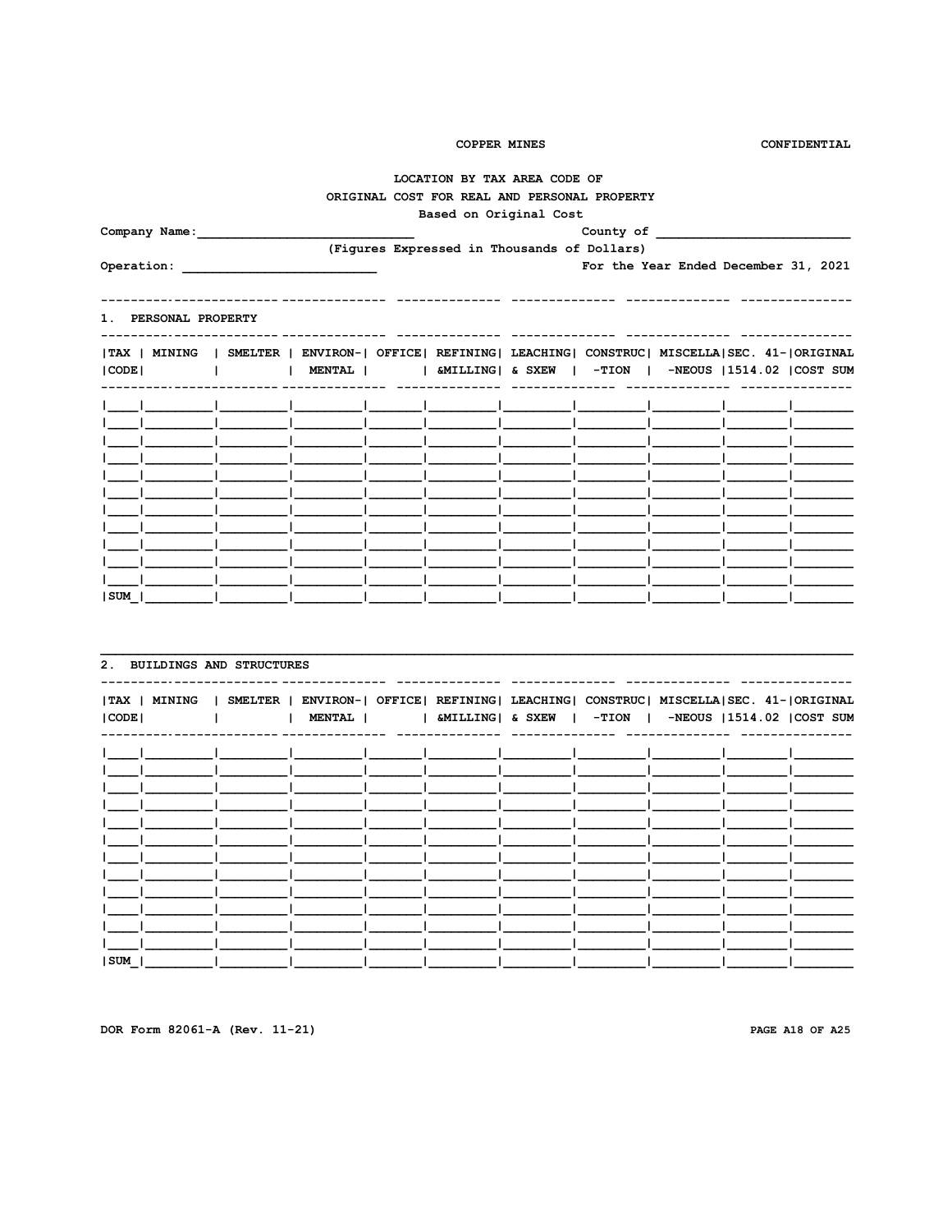CONFIDENTIAL

# LOCATION BY TAX AREA CODE OF ORIGINAL COST FOR REAL AND PERSONAL PROPERTY

# Based on Original Cost

| Company Name:                                                                                       |                                                                  |                                             | County of                            |  |  |
|-----------------------------------------------------------------------------------------------------|------------------------------------------------------------------|---------------------------------------------|--------------------------------------|--|--|
| Operation:                                                                                          |                                                                  | (Figures Expressed in Thousands of Dollars) | For the Year Ended December 31, 2021 |  |  |
|                                                                                                     |                                                                  |                                             |                                      |  |  |
| 1. PERSONAL PROPERTY                                                                                |                                                                  |                                             |                                      |  |  |
| TAX   MINING   SMELTER   ENVIRON-  OFFICE  REFINING  LEACHING  CONSTRUC  MISCELLA SEC. 41- ORIGINAL |                                                                  |                                             |                                      |  |  |
| CODE                                                                                                | INENTAL     &MILLING  & SXEW   -TION   -NEOUS  1514.02  COST SUM |                                             |                                      |  |  |
|                                                                                                     |                                                                  |                                             |                                      |  |  |
|                                                                                                     |                                                                  |                                             |                                      |  |  |
|                                                                                                     |                                                                  |                                             |                                      |  |  |
|                                                                                                     |                                                                  |                                             |                                      |  |  |
|                                                                                                     |                                                                  |                                             |                                      |  |  |
|                                                                                                     |                                                                  |                                             |                                      |  |  |
|                                                                                                     |                                                                  |                                             |                                      |  |  |
|                                                                                                     |                                                                  |                                             |                                      |  |  |
| SUM                                                                                                 |                                                                  |                                             |                                      |  |  |

| 2. BUILDINGS AND STRUCTURES |                                                                                                                                                                           |  |  |  |  |
|-----------------------------|---------------------------------------------------------------------------------------------------------------------------------------------------------------------------|--|--|--|--|
| TAX   MINING<br> CODE       | SMELTER   ENVIRON-  OFFICE  REFINING  LEACHING  CONSTRUC  MISCELLA SEC. 41- ORIGINAL<br>  MENTAL   $\blacksquare$   &MILLING   & SXEW   -TION   -NEOUS  1514.02  COST SUM |  |  |  |  |
|                             |                                                                                                                                                                           |  |  |  |  |
|                             |                                                                                                                                                                           |  |  |  |  |
|                             |                                                                                                                                                                           |  |  |  |  |
| SUM                         |                                                                                                                                                                           |  |  |  |  |

DOR Form 82061-A (Rev. 11-21)

PAGE A18 OF A25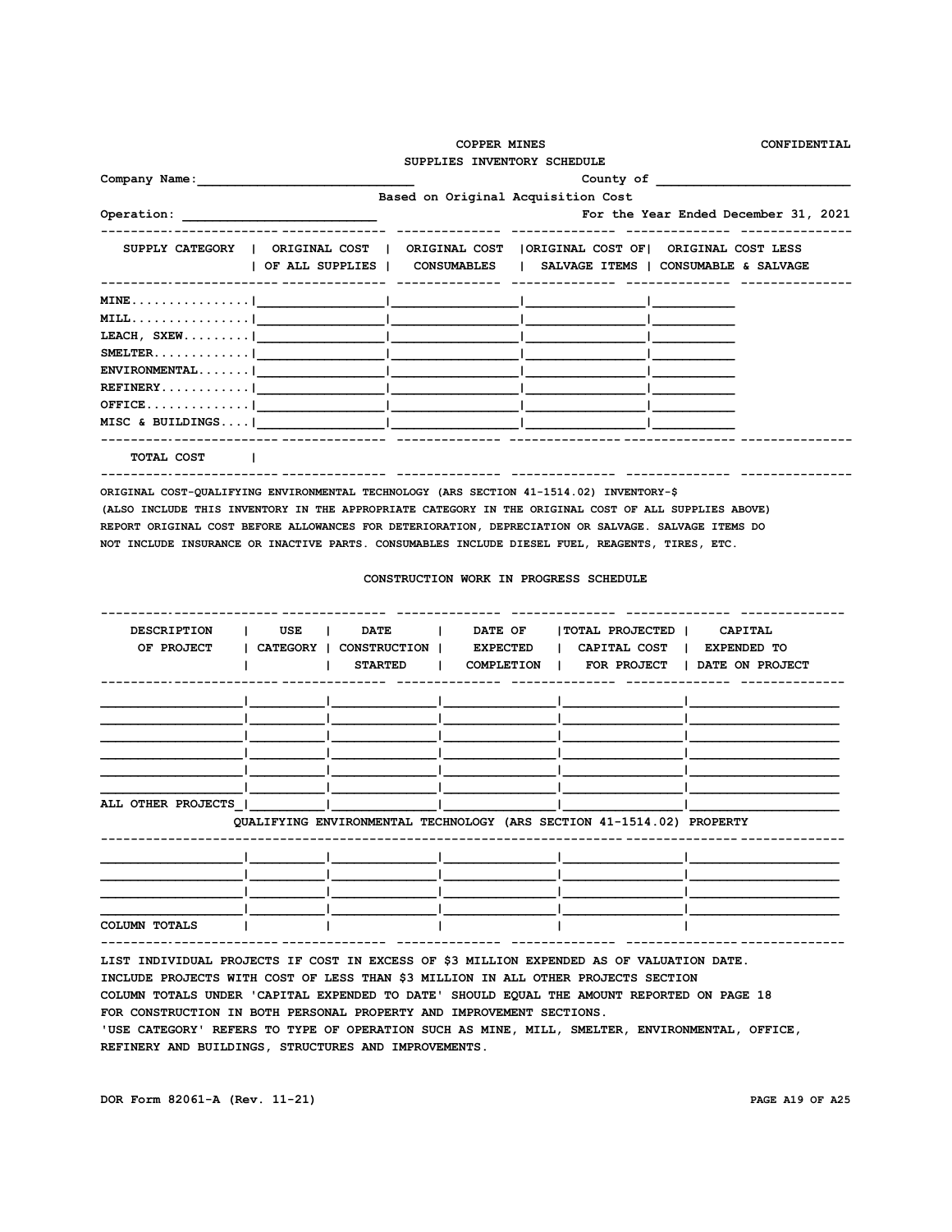|                                                                                                                                                                                                                                                                                                                                                                                                           | <b>COPPER MINES</b> | SUPPLIES INVENTORY SCHEDULE            | CONFIDENTIAL                                                                                                                                                                                                                   |  |  |
|-----------------------------------------------------------------------------------------------------------------------------------------------------------------------------------------------------------------------------------------------------------------------------------------------------------------------------------------------------------------------------------------------------------|---------------------|----------------------------------------|--------------------------------------------------------------------------------------------------------------------------------------------------------------------------------------------------------------------------------|--|--|
|                                                                                                                                                                                                                                                                                                                                                                                                           |                     |                                        | County of the country of the country of the country of the country of the country of the country of the country of the country of the country of the country of the country of the country of the country of the country of th |  |  |
|                                                                                                                                                                                                                                                                                                                                                                                                           |                     | Based on Original Acquisition Cost     |                                                                                                                                                                                                                                |  |  |
|                                                                                                                                                                                                                                                                                                                                                                                                           |                     |                                        | For the Year Ended December 31, 2021                                                                                                                                                                                           |  |  |
| SUPPLY CATEGORY   ORIGINAL COST   ORIGINAL COST   ORIGINAL COST OF  ORIGINAL COST LESS                                                                                                                                                                                                                                                                                                                    |                     |                                        | OF ALL SUPPLIES   CONSUMABLES   SALVAGE ITEMS   CONSUMABLE & SALVAGE                                                                                                                                                           |  |  |
|                                                                                                                                                                                                                                                                                                                                                                                                           |                     |                                        |                                                                                                                                                                                                                                |  |  |
|                                                                                                                                                                                                                                                                                                                                                                                                           |                     |                                        |                                                                                                                                                                                                                                |  |  |
| LEACH, SXEW  and $\vert$ and $\vert$ and $\vert$ and $\vert$ and $\vert$ and $\vert$ and $\vert$ and $\vert$ and $\vert$ and $\vert$ and $\vert$ and $\vert$ and $\vert$ and $\vert$ and $\vert$ and $\vert$ and $\vert$ and $\vert$ and $\vert$ and $\vert$ and $\vert$ and $\vert$ a                                                                                                                    |                     |                                        |                                                                                                                                                                                                                                |  |  |
| SMELTER.                                                                                                                                                                                                                                                                                                                                                                                                  |                     |                                        |                                                                                                                                                                                                                                |  |  |
|                                                                                                                                                                                                                                                                                                                                                                                                           |                     |                                        |                                                                                                                                                                                                                                |  |  |
|                                                                                                                                                                                                                                                                                                                                                                                                           |                     |                                        |                                                                                                                                                                                                                                |  |  |
| $\texttt{OFFICE} \ldots \ldots \ldots \ldots \vdots \qquad \qquad   \qquad \qquad  $                                                                                                                                                                                                                                                                                                                      |                     |                                        |                                                                                                                                                                                                                                |  |  |
|                                                                                                                                                                                                                                                                                                                                                                                                           |                     |                                        |                                                                                                                                                                                                                                |  |  |
| TOTAL COST                                                                                                                                                                                                                                                                                                                                                                                                |                     |                                        |                                                                                                                                                                                                                                |  |  |
| ORIGINAL COST-QUALIFYING ENVIRONMENTAL TECHNOLOGY (ARS SECTION 41-1514.02) INVENTORY-\$<br>(ALSO INCLUDE THIS INVENTORY IN THE APPROPRIATE CATEGORY IN THE ORIGINAL COST OF ALL SUPPLIES ABOVE)<br>REPORT ORIGINAL COST BEFORE ALLOWANCES FOR DETERIORATION, DEPRECIATION OR SALVAGE. SALVAGE ITEMS DO<br>NOT INCLUDE INSURANCE OR INACTIVE PARTS. CONSUMABLES INCLUDE DIESEL FUEL, REAGENTS, TIRES, ETC. |                     |                                        |                                                                                                                                                                                                                                |  |  |
|                                                                                                                                                                                                                                                                                                                                                                                                           |                     | CONSTRUCTION WORK IN PROGRESS SCHEDULE |                                                                                                                                                                                                                                |  |  |

| <b>DESCRIPTION</b>                                                                       | USE      | <b>DATE</b>         | DATE OF         | TOTAL PROJECTED   CAPITAL                                             |                      |
|------------------------------------------------------------------------------------------|----------|---------------------|-----------------|-----------------------------------------------------------------------|----------------------|
| OF PROJECT                                                                               | CATEGORY | <b>CONSTRUCTION</b> | <b>EXPECTED</b> | CAPITAL COST<br>$\mathbf{L}$                                          | <b>I EXPENDED TO</b> |
|                                                                                          |          | <b>STARTED</b>      | COMPLETION      | <b>FOR PROJECT</b><br>$\mathbf{L}$                                    | DATE ON PROJECT      |
|                                                                                          |          |                     |                 |                                                                       |                      |
|                                                                                          |          |                     |                 |                                                                       |                      |
|                                                                                          |          |                     |                 |                                                                       |                      |
|                                                                                          |          |                     |                 |                                                                       |                      |
|                                                                                          |          |                     |                 |                                                                       |                      |
| ALL OTHER PROJECTS                                                                       |          |                     |                 |                                                                       |                      |
|                                                                                          |          |                     |                 | QUALIFYING ENVIRONMENTAL TECHNOLOGY (ARS SECTION 41-1514.02) PROPERTY |                      |
|                                                                                          |          |                     |                 |                                                                       |                      |
|                                                                                          |          |                     |                 |                                                                       |                      |
|                                                                                          |          |                     |                 |                                                                       |                      |
|                                                                                          |          |                     |                 |                                                                       |                      |
| COLUMN TOTALS                                                                            |          |                     |                 |                                                                       |                      |
| LIST INDIVIDUAL PROJECTS IF COST IN EXCESS OF \$3 MILLION EXPENDED AS OF VALUATION DATE. |          |                     |                 |                                                                       |                      |

**LIST INDIVIDUAL PROJECTS IF COST IN EXCESS OF \$3 MILLION EXPENDED AS OF VALUATION DATE. INCLUDE PROJECTS WITH COST OF LESS THAN \$3 MILLION IN ALL OTHER PROJECTS SECTION COLUMN TOTALS UNDER 'CAPITAL EXPENDED TO DATE' SHOULD EQUAL THE AMOUNT REPORTED ON PAGE 18 FOR CONSTRUCTION IN BOTH PERSONAL PROPERTY AND IMPROVEMENT SECTIONS. 'USE CATEGORY' REFERS TO TYPE OF OPERATION SUCH AS MINE, MILL, SMELTER, ENVIRONMENTAL, OFFICE, REFINERY AND BUILDINGS, STRUCTURES AND IMPROVEMENTS.**

**DOR Form 82061-A (Rev. 11-21) PAGE A19 OF A25**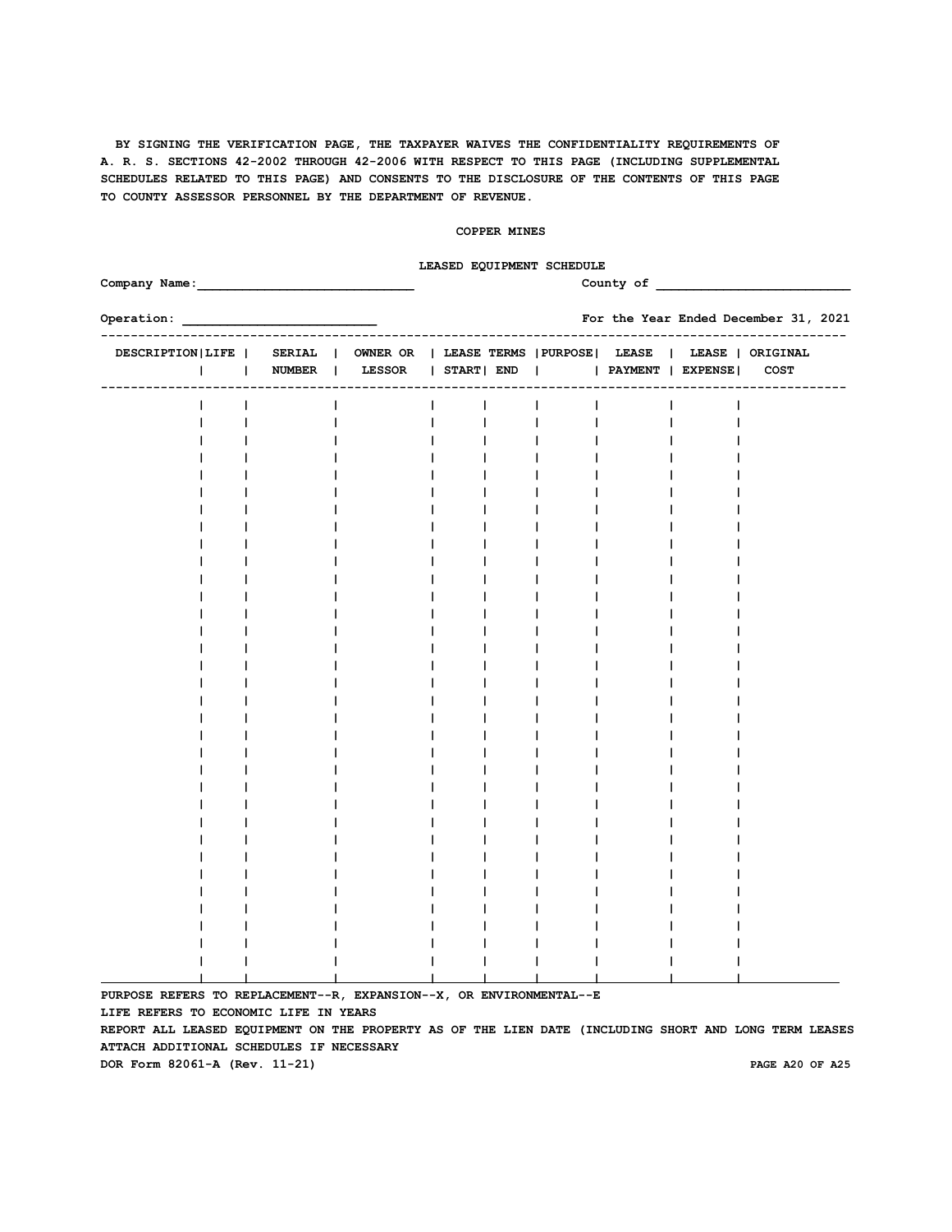#### **COPPER MINES**

### **LEASED EQUIPMENT SCHEDULE**

| Company Name:                                                                                           |  |        |  |        |  |            |  | County of                                         |                                      |
|---------------------------------------------------------------------------------------------------------|--|--------|--|--------|--|------------|--|---------------------------------------------------|--------------------------------------|
| Operation:                                                                                              |  |        |  |        |  |            |  |                                                   | For the Year Ended December 31, 2021 |
| DESCRIPTION LIFE   SERIAL   OWNER OR   LEASE TERMS   PURPOSE   LEASE   LEASE   ORIGINAL<br>$\mathsf{I}$ |  | NUMBER |  | LESSOR |  | START  END |  | --------------------------<br>  PAYMENT   EXPENSE | COST                                 |
|                                                                                                         |  |        |  |        |  |            |  |                                                   |                                      |
|                                                                                                         |  |        |  |        |  |            |  |                                                   |                                      |
|                                                                                                         |  |        |  |        |  |            |  |                                                   |                                      |
|                                                                                                         |  |        |  |        |  |            |  |                                                   |                                      |
|                                                                                                         |  |        |  |        |  |            |  |                                                   |                                      |
|                                                                                                         |  |        |  |        |  |            |  |                                                   |                                      |
|                                                                                                         |  |        |  |        |  |            |  |                                                   |                                      |
|                                                                                                         |  |        |  |        |  |            |  |                                                   |                                      |
|                                                                                                         |  |        |  |        |  |            |  |                                                   |                                      |
|                                                                                                         |  |        |  |        |  |            |  |                                                   |                                      |
|                                                                                                         |  |        |  |        |  |            |  |                                                   |                                      |
|                                                                                                         |  |        |  |        |  |            |  |                                                   |                                      |
|                                                                                                         |  |        |  |        |  |            |  |                                                   |                                      |
|                                                                                                         |  |        |  |        |  |            |  |                                                   |                                      |
|                                                                                                         |  |        |  |        |  |            |  |                                                   |                                      |
|                                                                                                         |  |        |  |        |  |            |  |                                                   |                                      |
|                                                                                                         |  |        |  |        |  |            |  |                                                   |                                      |
|                                                                                                         |  |        |  |        |  |            |  |                                                   |                                      |
|                                                                                                         |  |        |  |        |  |            |  |                                                   |                                      |
|                                                                                                         |  |        |  |        |  |            |  |                                                   |                                      |
|                                                                                                         |  |        |  |        |  |            |  |                                                   |                                      |
|                                                                                                         |  |        |  |        |  |            |  |                                                   |                                      |
|                                                                                                         |  |        |  |        |  |            |  |                                                   |                                      |
|                                                                                                         |  |        |  |        |  |            |  |                                                   |                                      |
|                                                                                                         |  |        |  |        |  |            |  |                                                   |                                      |
|                                                                                                         |  |        |  |        |  |            |  |                                                   |                                      |
|                                                                                                         |  |        |  |        |  |            |  |                                                   |                                      |
|                                                                                                         |  |        |  |        |  |            |  |                                                   |                                      |
|                                                                                                         |  |        |  |        |  |            |  |                                                   |                                      |
|                                                                                                         |  |        |  |        |  |            |  |                                                   |                                      |
|                                                                                                         |  |        |  |        |  |            |  |                                                   |                                      |
|                                                                                                         |  |        |  |        |  |            |  |                                                   |                                      |
| PURPOSE REFERS TO REPLACEMENT--R, EXPANSION--X, OR ENVIRONMENTAL--E                                     |  |        |  |        |  |            |  |                                                   |                                      |

**LIFE REFERS TO ECONOMIC LIFE IN YEARS**

**REPORT ALL LEASED EQUIPMENT ON THE PROPERTY AS OF THE LIEN DATE (INCLUDING SHORT AND LONG TERM LEASES ATTACH ADDITIONAL SCHEDULES IF NECESSARY**

**DOR Form 82061-A (Rev. 11-21) PAGE A20 OF A25**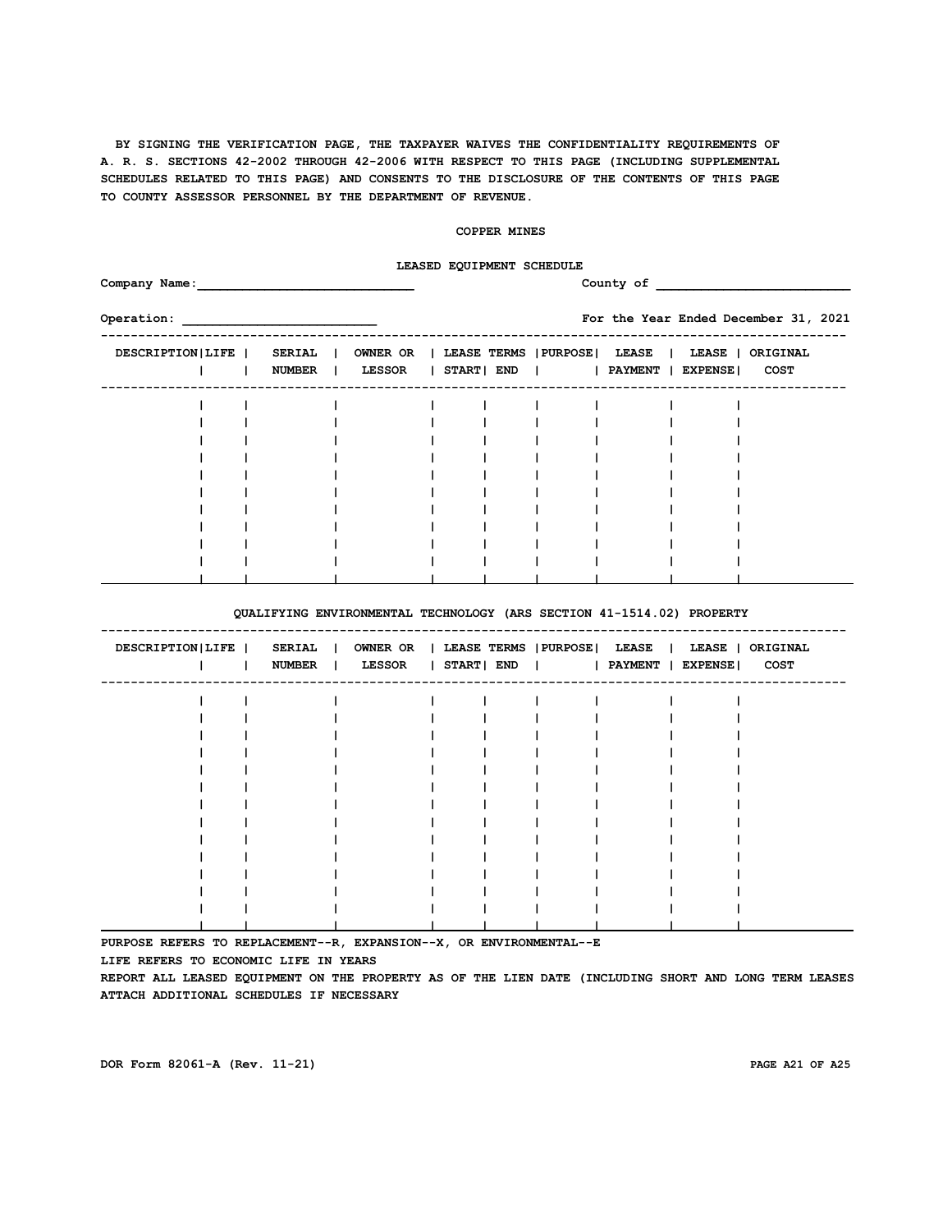#### **COPPER MINES**

# **LEASED EQUIPMENT SCHEDULE**

| Company Name:      |                                |                                                             | County of |  |  |                                      |       |                  |  |  |  |
|--------------------|--------------------------------|-------------------------------------------------------------|-----------|--|--|--------------------------------------|-------|------------------|--|--|--|
| Operation:         |                                |                                                             |           |  |  | For the Year Ended December 31, 2021 |       |                  |  |  |  |
| DESCRIPTION   LIFE | <b>SERIAL</b><br><b>NUMBER</b> | OWNER OR   LEASE TERMS   PURPOSE   LEASE  <br><b>LESSOR</b> |           |  |  | START  END       PAYMENT   EXPENSE   | LEASE | ORIGINAL<br>COST |  |  |  |
|                    |                                |                                                             |           |  |  |                                      |       |                  |  |  |  |
|                    |                                |                                                             |           |  |  |                                      |       |                  |  |  |  |
|                    |                                |                                                             |           |  |  |                                      |       |                  |  |  |  |
|                    |                                |                                                             |           |  |  |                                      |       |                  |  |  |  |
|                    |                                |                                                             |           |  |  |                                      |       |                  |  |  |  |
|                    |                                |                                                             |           |  |  |                                      |       |                  |  |  |  |
|                    |                                |                                                             |           |  |  |                                      |       |                  |  |  |  |
|                    |                                |                                                             |           |  |  |                                      |       |                  |  |  |  |
|                    |                                |                                                             |           |  |  |                                      |       |                  |  |  |  |
|                    |                                |                                                             |           |  |  |                                      |       |                  |  |  |  |
|                    |                                |                                                             |           |  |  |                                      |       |                  |  |  |  |

### **QUALIFYING ENVIRONMENTAL TECHNOLOGY (ARS SECTION 41-1514.02) PROPERTY**

| DESCRIPTION   LIFE |  |  | SERIAL   OWNER OR   LEASE TERMS   PURPOSE   LEASE   LEASE   ORIGINAL<br>NUMBER   LESSOR   START  END     PAYMENT   EXPENSE  COST |  |  |  |  |
|--------------------|--|--|----------------------------------------------------------------------------------------------------------------------------------|--|--|--|--|
|                    |  |  |                                                                                                                                  |  |  |  |  |
|                    |  |  |                                                                                                                                  |  |  |  |  |
|                    |  |  |                                                                                                                                  |  |  |  |  |
|                    |  |  |                                                                                                                                  |  |  |  |  |
|                    |  |  |                                                                                                                                  |  |  |  |  |
|                    |  |  |                                                                                                                                  |  |  |  |  |
|                    |  |  |                                                                                                                                  |  |  |  |  |
|                    |  |  |                                                                                                                                  |  |  |  |  |
|                    |  |  |                                                                                                                                  |  |  |  |  |
|                    |  |  |                                                                                                                                  |  |  |  |  |
|                    |  |  |                                                                                                                                  |  |  |  |  |
|                    |  |  |                                                                                                                                  |  |  |  |  |
|                    |  |  |                                                                                                                                  |  |  |  |  |
|                    |  |  |                                                                                                                                  |  |  |  |  |

**PURPOSE REFERS TO REPLACEMENT--R, EXPANSION--X, OR ENVIRONMENTAL--E**

**LIFE REFERS TO ECONOMIC LIFE IN YEARS**

**REPORT ALL LEASED EQUIPMENT ON THE PROPERTY AS OF THE LIEN DATE (INCLUDING SHORT AND LONG TERM LEASES ATTACH ADDITIONAL SCHEDULES IF NECESSARY**

**DOR Form 82061-A (Rev. 11-21) PAGE A21 OF A25**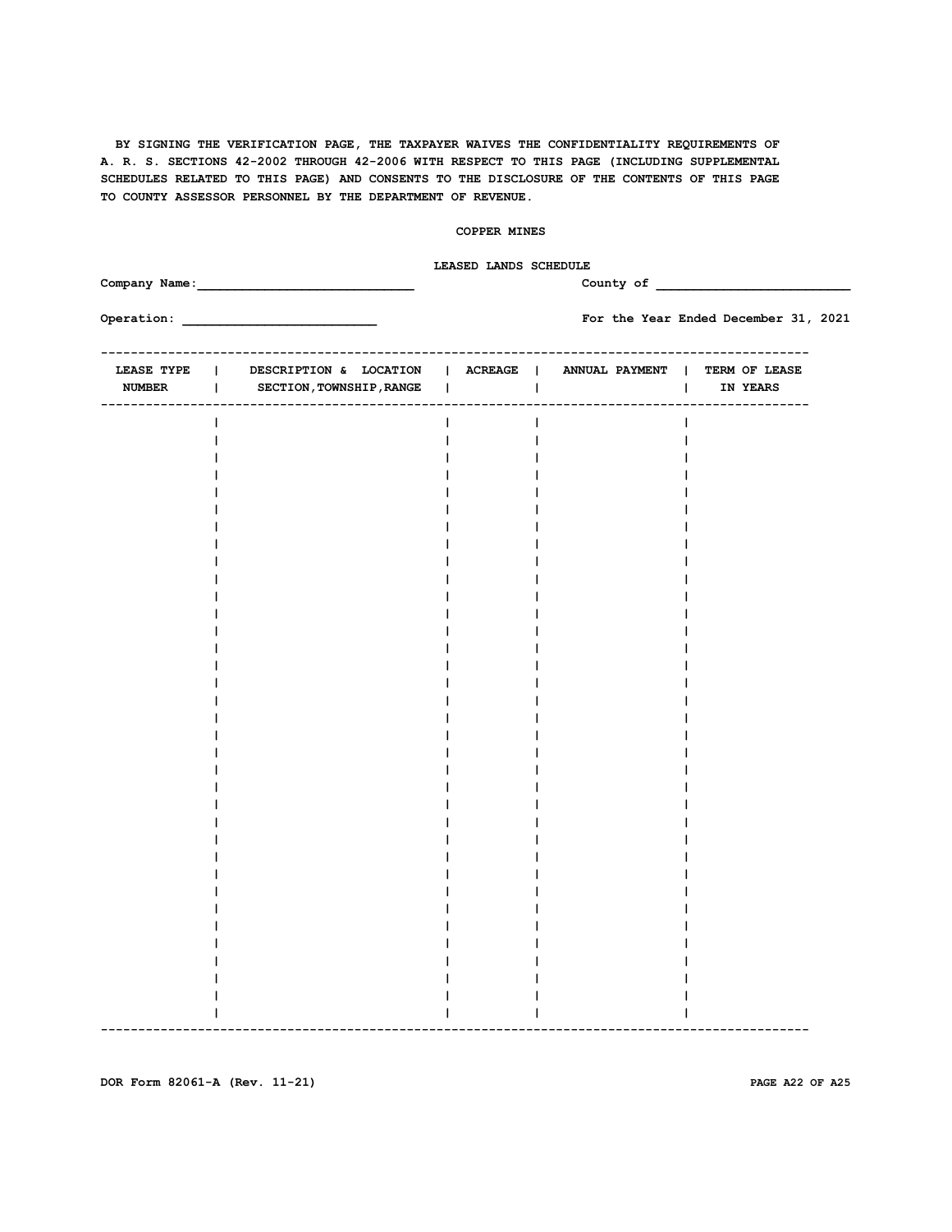## **COPPER MINES**

|                                              |                                                                                                 | LEASED LANDS SCHEDULE<br>County of |                               |                                      |  |  |  |  |  |  |
|----------------------------------------------|-------------------------------------------------------------------------------------------------|------------------------------------|-------------------------------|--------------------------------------|--|--|--|--|--|--|
|                                              |                                                                                                 |                                    |                               | For the Year Ended December 31, 2021 |  |  |  |  |  |  |
| <b>LEASE TYPE</b><br>$\Box$<br><b>NUMBER</b> | DESCRIPTION & LOCATION   ACREAGE   ANNUAL PAYMENT   TERM OF LEASE<br>  SECTION, TOWNSHIP, RANGE |                                    | <b>College</b>                | IN YEARS<br>$\mathbf{1}$             |  |  |  |  |  |  |
|                                              | -----------                                                                                     | -------                            | _____________________________ | ------                               |  |  |  |  |  |  |
|                                              |                                                                                                 |                                    |                               |                                      |  |  |  |  |  |  |
|                                              |                                                                                                 |                                    |                               |                                      |  |  |  |  |  |  |
|                                              |                                                                                                 |                                    |                               |                                      |  |  |  |  |  |  |
|                                              |                                                                                                 |                                    |                               |                                      |  |  |  |  |  |  |
|                                              |                                                                                                 |                                    |                               |                                      |  |  |  |  |  |  |
|                                              |                                                                                                 |                                    |                               |                                      |  |  |  |  |  |  |
|                                              |                                                                                                 |                                    |                               |                                      |  |  |  |  |  |  |
|                                              |                                                                                                 |                                    |                               |                                      |  |  |  |  |  |  |
|                                              |                                                                                                 |                                    |                               |                                      |  |  |  |  |  |  |
|                                              |                                                                                                 |                                    |                               |                                      |  |  |  |  |  |  |
|                                              |                                                                                                 |                                    |                               |                                      |  |  |  |  |  |  |
|                                              |                                                                                                 |                                    |                               |                                      |  |  |  |  |  |  |
|                                              |                                                                                                 |                                    |                               |                                      |  |  |  |  |  |  |
|                                              |                                                                                                 |                                    |                               |                                      |  |  |  |  |  |  |
|                                              |                                                                                                 |                                    |                               |                                      |  |  |  |  |  |  |
|                                              |                                                                                                 |                                    |                               |                                      |  |  |  |  |  |  |
|                                              |                                                                                                 |                                    |                               |                                      |  |  |  |  |  |  |
|                                              |                                                                                                 |                                    |                               |                                      |  |  |  |  |  |  |
|                                              |                                                                                                 |                                    |                               |                                      |  |  |  |  |  |  |
|                                              |                                                                                                 |                                    |                               |                                      |  |  |  |  |  |  |
|                                              |                                                                                                 |                                    |                               |                                      |  |  |  |  |  |  |
|                                              |                                                                                                 |                                    |                               |                                      |  |  |  |  |  |  |

**DOR Form 82061-A (Rev. 11-21) PAGE A22 OF A25**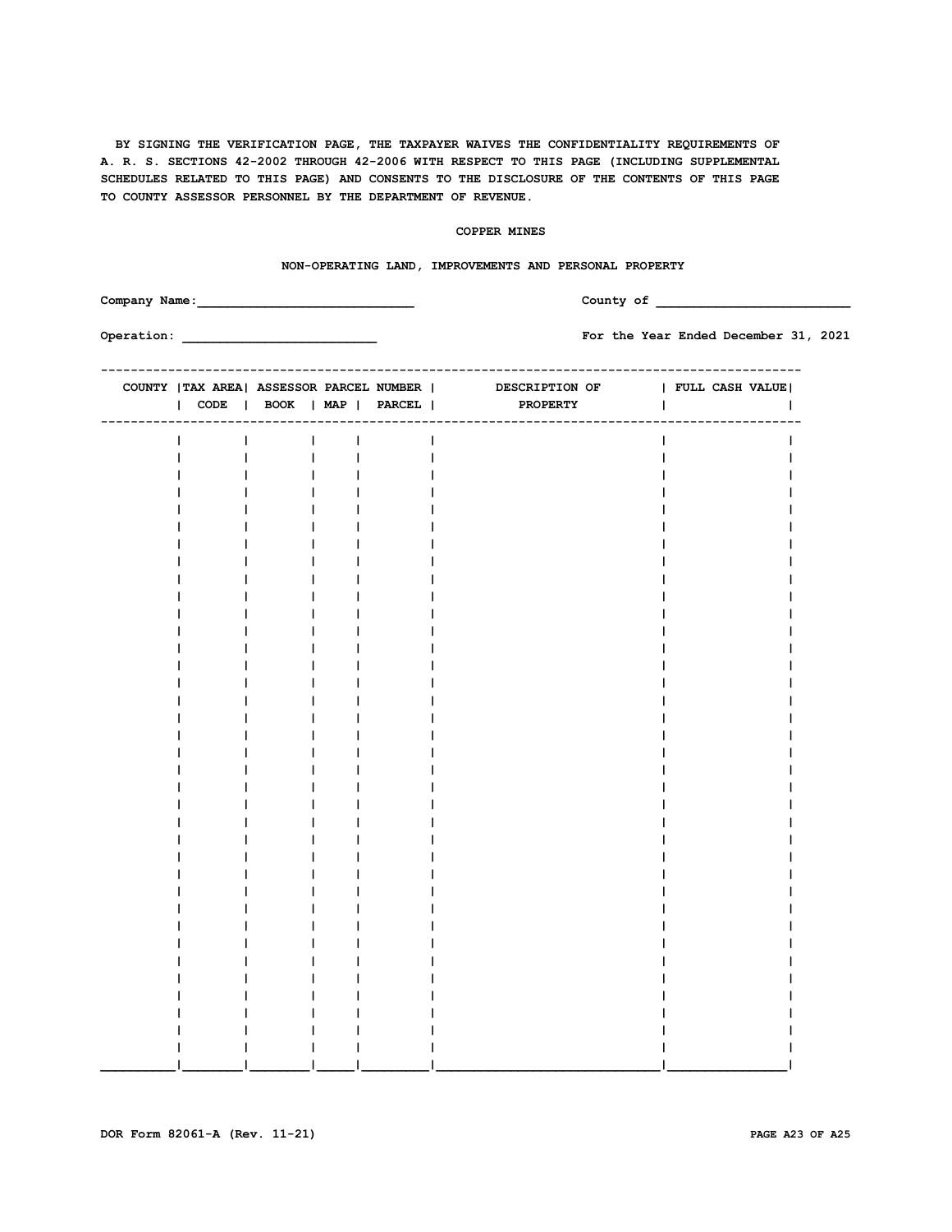## **COPPER MINES**

|  |               | NON-OPERATING LAND, IMPROVEMENTS AND PERSONAL PROPERTY |                |                                                                              |          |                                       |              |  |  |
|--|---------------|--------------------------------------------------------|----------------|------------------------------------------------------------------------------|----------|---------------------------------------|--------------|--|--|
|  | Company Name: |                                                        |                |                                                                              |          | County of the county of the county of |              |  |  |
|  |               |                                                        |                |                                                                              |          | For the Year Ended December 31, 2021  |              |  |  |
|  |               |                                                        |                | COUNTY   TAX AREA  ASSESSOR PARCEL NUMBER   DESCRIPTION OF   FULL CASH VALUE |          |                                       |              |  |  |
|  |               |                                                        |                | CODE   BOOK   MAP   PARCEL                                                   | PROPERTY |                                       | $\mathbf{I}$ |  |  |
|  | $\mathbf{I}$  | and the later<br>$\mathcal{L}$                         | $\blacksquare$ | 1                                                                            |          |                                       |              |  |  |
|  |               | $\mathbf{L}$<br>$\blacksquare$                         | $\mathbf{I}$   |                                                                              |          |                                       |              |  |  |
|  |               | $\mathbf{I}$                                           | 1              |                                                                              |          |                                       |              |  |  |
|  |               | I.<br>$\mathbf{I}$                                     |                |                                                                              |          |                                       |              |  |  |
|  |               | $\mathbf{I}$                                           |                |                                                                              |          |                                       |              |  |  |
|  |               | $\mathbf{I}$                                           |                |                                                                              |          |                                       |              |  |  |
|  |               | T                                                      |                |                                                                              |          |                                       |              |  |  |
|  |               |                                                        |                |                                                                              |          |                                       |              |  |  |
|  |               | L                                                      |                |                                                                              |          |                                       |              |  |  |
|  |               |                                                        |                |                                                                              |          |                                       |              |  |  |
|  |               |                                                        |                |                                                                              |          |                                       |              |  |  |
|  |               |                                                        |                |                                                                              |          |                                       |              |  |  |
|  |               |                                                        |                |                                                                              |          |                                       |              |  |  |
|  |               |                                                        |                |                                                                              |          |                                       |              |  |  |
|  |               |                                                        |                |                                                                              |          |                                       |              |  |  |
|  |               | L<br>Ι.                                                |                |                                                                              |          |                                       |              |  |  |
|  |               |                                                        |                |                                                                              |          |                                       |              |  |  |
|  |               |                                                        |                |                                                                              |          |                                       |              |  |  |
|  |               |                                                        |                |                                                                              |          |                                       |              |  |  |
|  |               |                                                        |                |                                                                              |          |                                       |              |  |  |
|  |               |                                                        |                |                                                                              |          |                                       |              |  |  |
|  |               |                                                        |                |                                                                              |          |                                       |              |  |  |
|  |               |                                                        |                |                                                                              |          |                                       |              |  |  |
|  |               | Ш                                                      |                |                                                                              |          |                                       |              |  |  |
|  |               |                                                        |                |                                                                              |          |                                       |              |  |  |
|  |               |                                                        |                |                                                                              |          |                                       |              |  |  |
|  |               |                                                        |                |                                                                              |          |                                       |              |  |  |
|  |               |                                                        |                |                                                                              |          |                                       |              |  |  |
|  |               |                                                        |                |                                                                              |          |                                       |              |  |  |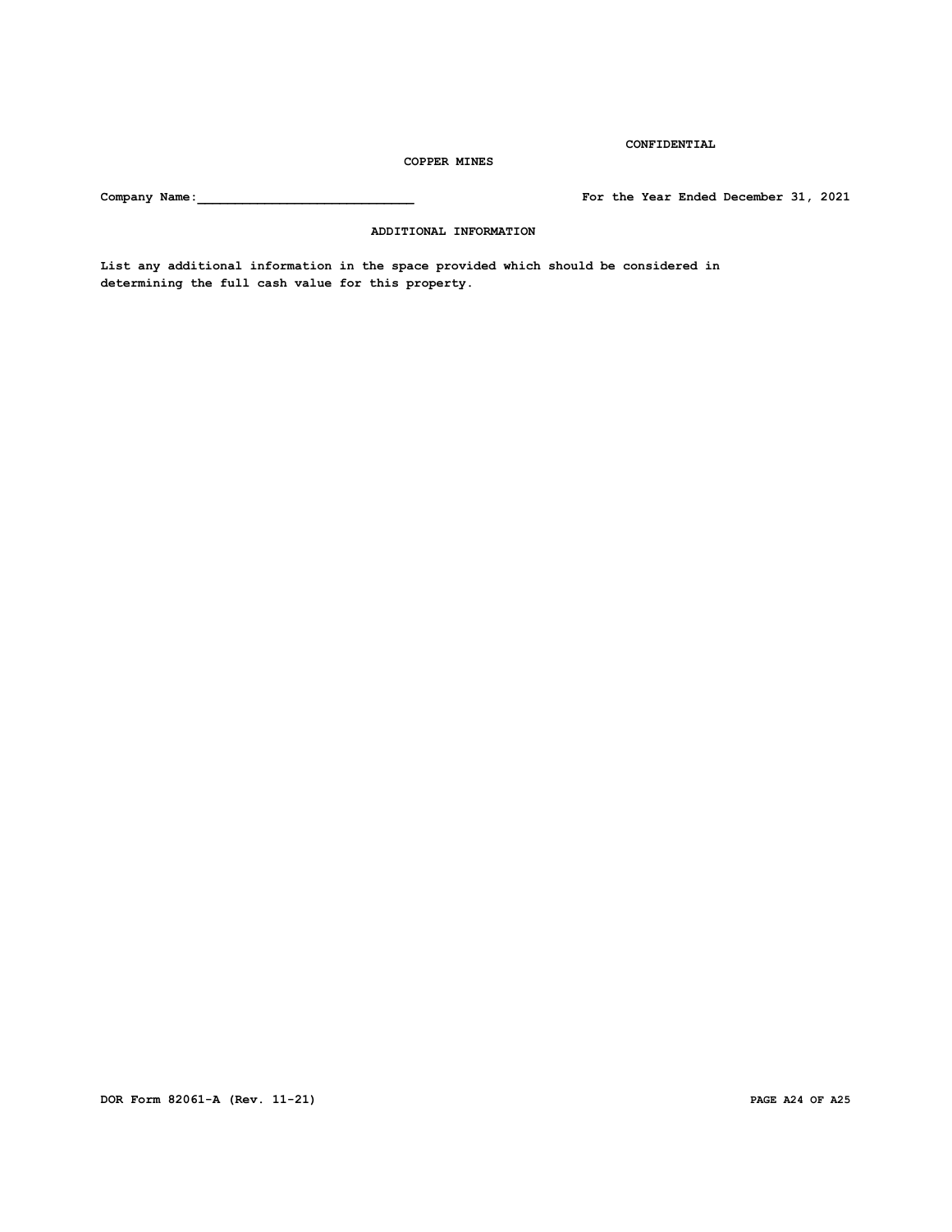**Company Name:\_\_\_\_\_\_\_\_\_\_\_\_\_\_\_\_\_\_\_\_\_\_\_\_\_\_\_\_\_ For the Year Ended December 31, 2021**

**CONFIDENTIAL**

 **ADDITIONAL INFORMATION**

**List any additional information in the space provided which should be considered in determining the full cash value for this property.**